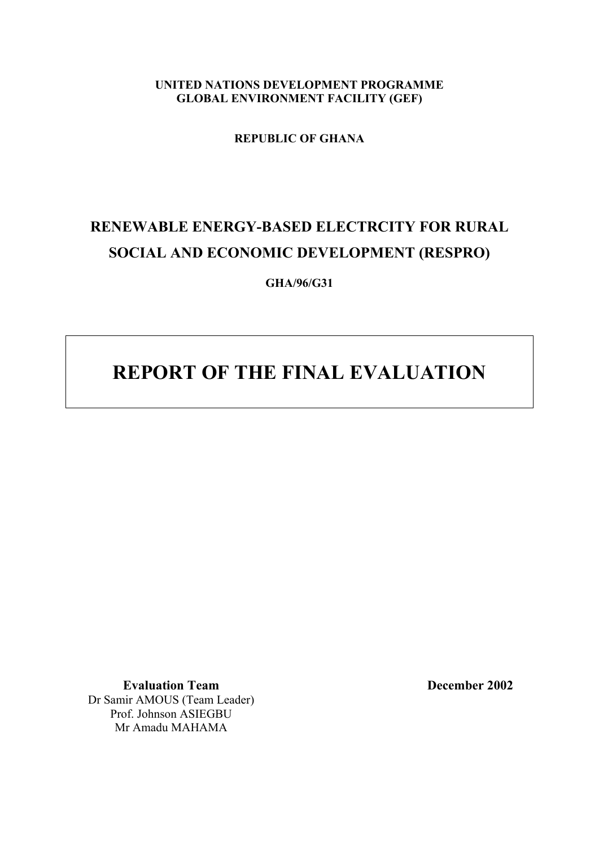**UNITED NATIONS DEVELOPMENT PROGRAMME GLOBAL ENVIRONMENT FACILITY (GEF)**

**REPUBLIC OF GHANA**

# **RENEWABLE ENERGY-BASED ELECTRCITY FOR RURAL SOCIAL AND ECONOMIC DEVELOPMENT (RESPRO)**

**GHA/96/G31**

# **REPORT OF THE FINAL EVALUATION**

**Evaluation Team December 2002** Dr Samir AMOUS (Team Leader) Prof. Johnson ASIEGBU Mr Amadu MAHAMA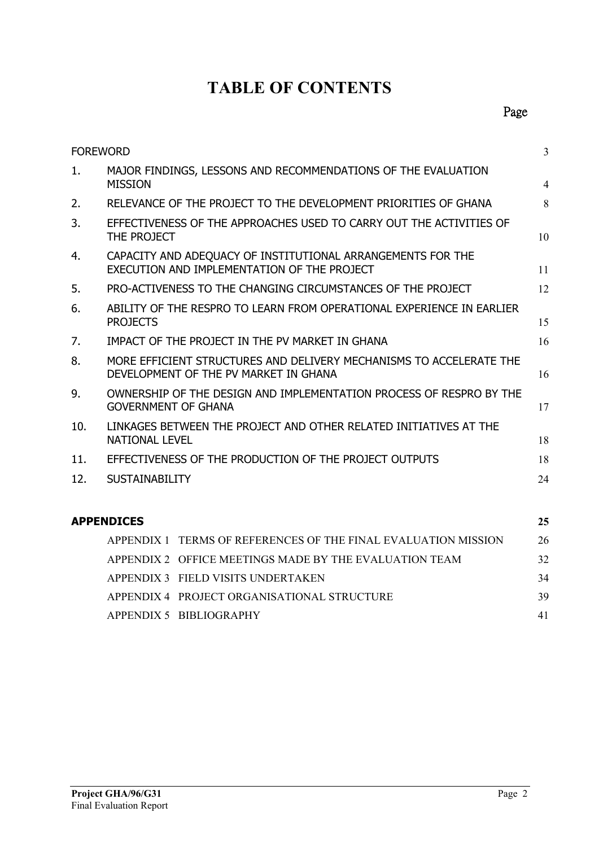# **TABLE OF CONTENTS**

| <b>FOREWORD</b> |                                                                                                                    | $\overline{3}$ |  |  |
|-----------------|--------------------------------------------------------------------------------------------------------------------|----------------|--|--|
| 1.              | MAJOR FINDINGS, LESSONS AND RECOMMENDATIONS OF THE EVALUATION<br><b>MISSION</b>                                    | $\overline{4}$ |  |  |
| 2.              | RELEVANCE OF THE PROJECT TO THE DEVELOPMENT PRIORITIES OF GHANA                                                    |                |  |  |
| 3.              | EFFECTIVENESS OF THE APPROACHES USED TO CARRY OUT THE ACTIVITIES OF<br>THE PROJECT                                 | 10             |  |  |
| 4.              | CAPACITY AND ADEQUACY OF INSTITUTIONAL ARRANGEMENTS FOR THE<br>EXECUTION AND IMPLEMENTATION OF THE PROJECT         |                |  |  |
| 5.              | PRO-ACTIVENESS TO THE CHANGING CIRCUMSTANCES OF THE PROJECT                                                        |                |  |  |
| 6.              | ABILITY OF THE RESPRO TO LEARN FROM OPERATIONAL EXPERIENCE IN EARLIER<br><b>PROJECTS</b>                           | 15             |  |  |
| 7.              | IMPACT OF THE PROJECT IN THE PV MARKET IN GHANA                                                                    | 16             |  |  |
| 8.              | MORE EFFICIENT STRUCTURES AND DELIVERY MECHANISMS TO ACCELERATE THE<br>DEVELOPMENT OF THE PV MARKET IN GHANA<br>16 |                |  |  |
| 9.              | OWNERSHIP OF THE DESIGN AND IMPLEMENTATION PROCESS OF RESPRO BY THE<br><b>GOVERNMENT OF GHANA</b><br>17            |                |  |  |
| 10.             | LINKAGES BETWEEN THE PROJECT AND OTHER RELATED INITIATIVES AT THE<br><b>NATIONAL LEVEL</b><br>18                   |                |  |  |
| 11.             | EFFECTIVENESS OF THE PRODUCTION OF THE PROJECT OUTPUTS                                                             |                |  |  |
| 12.             | <b>SUSTAINABILITY</b>                                                                                              | 24             |  |  |
|                 | <b>APPENDICES</b>                                                                                                  | 25             |  |  |
|                 | APPENDIX 1 TERMS OF REFERENCES OF THE FINAL EVALUATION MISSION                                                     | 26             |  |  |
|                 | APPENDIX 2 OFFICE MEETINGS MADE BY THE EVALUATION TEAM                                                             | 32             |  |  |
|                 | APPENDIX 3 FIELD VISITS UNDERTAKEN                                                                                 | 34             |  |  |
|                 | APPENDIX 4 PROJECT ORGANISATIONAL STRUCTURE                                                                        | 39             |  |  |

[APPENDIX 5 BIBLIOGRAPHY](#page-40-0) 41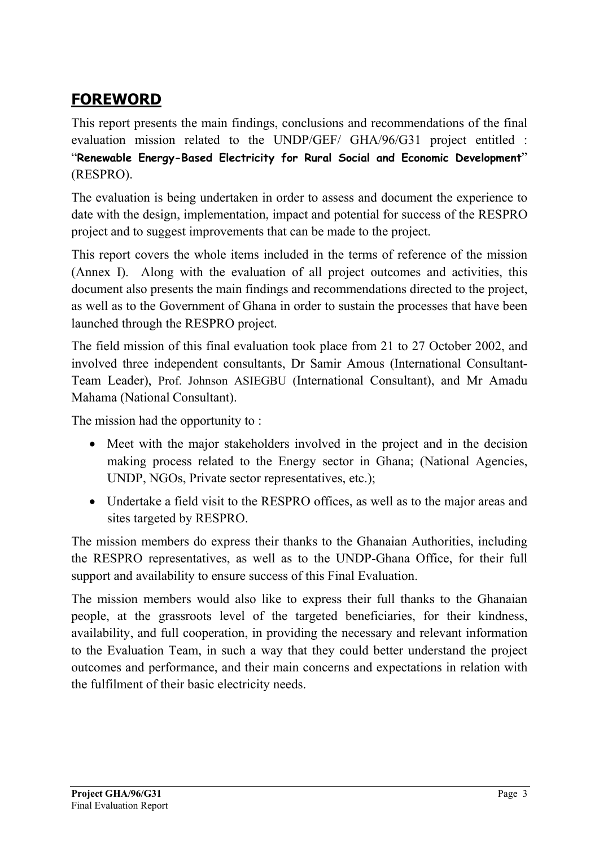# <span id="page-2-0"></span>**FOREWORD**

This report presents the main findings, conclusions and recommendations of the final evaluation mission related to the UNDP/GEF/ GHA/96/G31 project entitled : "**Renewable Energy-Based Electricity for Rural Social and Economic Development**" (RESPRO).

The evaluation is being undertaken in order to assess and document the experience to date with the design, implementation, impact and potential for success of the RESPRO project and to suggest improvements that can be made to the project.

This report covers the whole items included in the terms of reference of the mission (Annex I). Along with the evaluation of all project outcomes and activities, this document also presents the main findings and recommendations directed to the project, as well as to the Government of Ghana in order to sustain the processes that have been launched through the RESPRO project.

The field mission of this final evaluation took place from 21 to 27 October 2002, and involved three independent consultants, Dr Samir Amous (International Consultant-Team Leader), Prof. Johnson ASIEGBU (International Consultant), and Mr Amadu Mahama (National Consultant).

The mission had the opportunity to :

- Meet with the major stakeholders involved in the project and in the decision making process related to the Energy sector in Ghana; (National Agencies, UNDP, NGOs, Private sector representatives, etc.);
- Undertake a field visit to the RESPRO offices, as well as to the major areas and sites targeted by RESPRO.

The mission members do express their thanks to the Ghanaian Authorities, including the RESPRO representatives, as well as to the UNDP-Ghana Office, for their full support and availability to ensure success of this Final Evaluation.

The mission members would also like to express their full thanks to the Ghanaian people, at the grassroots level of the targeted beneficiaries, for their kindness, availability, and full cooperation, in providing the necessary and relevant information to the Evaluation Team, in such a way that they could better understand the project outcomes and performance, and their main concerns and expectations in relation with the fulfilment of their basic electricity needs.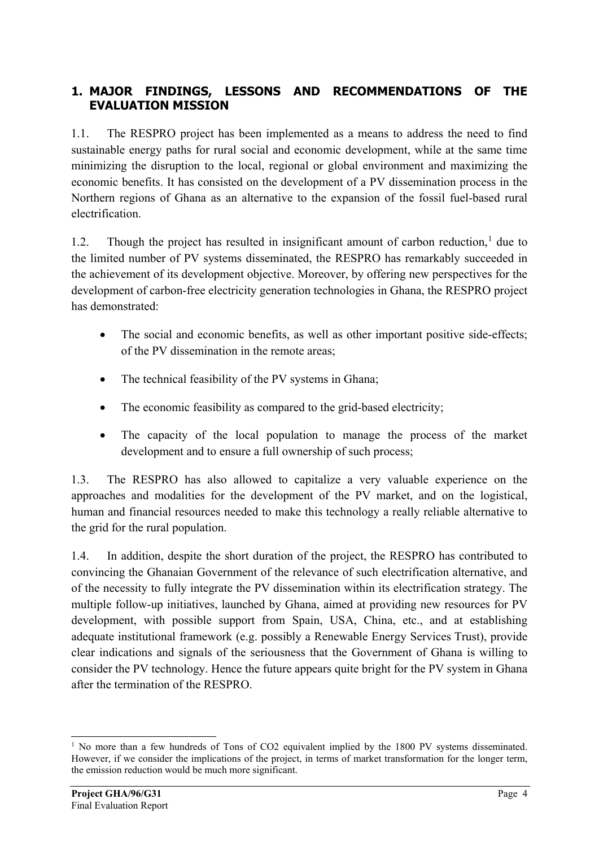## <span id="page-3-0"></span>**1. MAJOR FINDINGS, LESSONS AND RECOMMENDATIONS OF THE EVALUATION MISSION**

1.1. The RESPRO project has been implemented as a means to address the need to find sustainable energy paths for rural social and economic development, while at the same time minimizing the disruption to the local, regional or global environment and maximizing the economic benefits. It has consisted on the development of a PV dissemination process in the Northern regions of Ghana as an alternative to the expansion of the fossil fuel-based rural electrification.

[1](#page-3-1).2. Though the project has resulted in insignificant amount of carbon reduction, $<sup>1</sup>$  due to</sup> the limited number of PV systems disseminated, the RESPRO has remarkably succeeded in the achievement of its development objective. Moreover, by offering new perspectives for the development of carbon-free electricity generation technologies in Ghana, the RESPRO project has demonstrated:

- The social and economic benefits, as well as other important positive side-effects; of the PV dissemination in the remote areas;
- The technical feasibility of the PV systems in Ghana;
- The economic feasibility as compared to the grid-based electricity;
- The capacity of the local population to manage the process of the market development and to ensure a full ownership of such process;

1.3. The RESPRO has also allowed to capitalize a very valuable experience on the approaches and modalities for the development of the PV market, and on the logistical, human and financial resources needed to make this technology a really reliable alternative to the grid for the rural population.

1.4. In addition, despite the short duration of the project, the RESPRO has contributed to convincing the Ghanaian Government of the relevance of such electrification alternative, and of the necessity to fully integrate the PV dissemination within its electrification strategy. The multiple follow-up initiatives, launched by Ghana, aimed at providing new resources for PV development, with possible support from Spain, USA, China, etc., and at establishing adequate institutional framework (e.g. possibly a Renewable Energy Services Trust), provide clear indications and signals of the seriousness that the Government of Ghana is willing to consider the PV technology. Hence the future appears quite bright for the PV system in Ghana after the termination of the RESPRO.

<span id="page-3-1"></span><sup>-</sup><sup>1</sup> No more than a few hundreds of Tons of CO2 equivalent implied by the 1800 PV systems disseminated. However, if we consider the implications of the project, in terms of market transformation for the longer term, the emission reduction would be much more significant.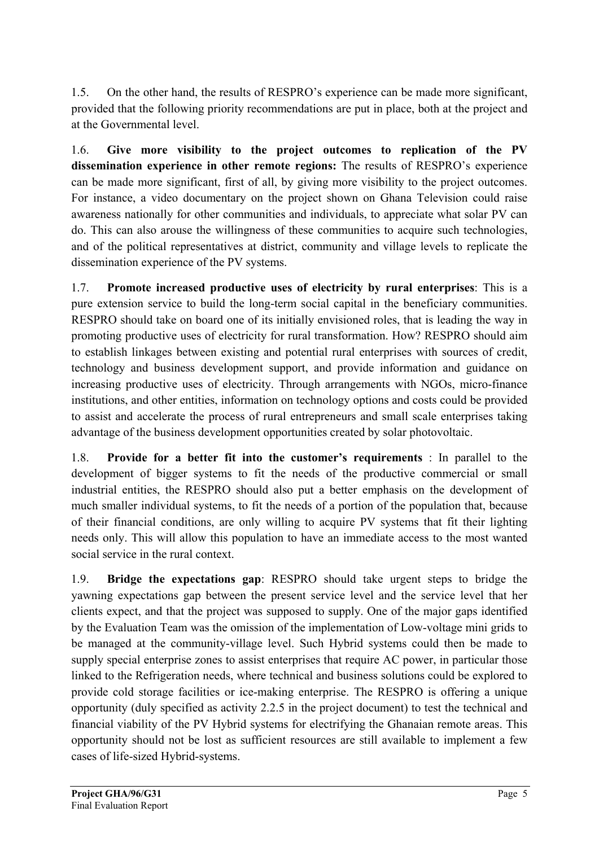1.5. On the other hand, the results of RESPRO's experience can be made more significant, provided that the following priority recommendations are put in place, both at the project and at the Governmental level.

1.6. **Give more visibility to the project outcomes to replication of the PV dissemination experience in other remote regions:** The results of RESPRO's experience can be made more significant, first of all, by giving more visibility to the project outcomes. For instance, a video documentary on the project shown on Ghana Television could raise awareness nationally for other communities and individuals, to appreciate what solar PV can do. This can also arouse the willingness of these communities to acquire such technologies, and of the political representatives at district, community and village levels to replicate the dissemination experience of the PV systems.

1.7. **Promote increased productive uses of electricity by rural enterprises**: This is a pure extension service to build the long-term social capital in the beneficiary communities. RESPRO should take on board one of its initially envisioned roles, that is leading the way in promoting productive uses of electricity for rural transformation. How? RESPRO should aim to establish linkages between existing and potential rural enterprises with sources of credit, technology and business development support, and provide information and guidance on increasing productive uses of electricity. Through arrangements with NGOs, micro-finance institutions, and other entities, information on technology options and costs could be provided to assist and accelerate the process of rural entrepreneurs and small scale enterprises taking advantage of the business development opportunities created by solar photovoltaic.

1.8. **Provide for a better fit into the customer's requirements** : In parallel to the development of bigger systems to fit the needs of the productive commercial or small industrial entities, the RESPRO should also put a better emphasis on the development of much smaller individual systems, to fit the needs of a portion of the population that, because of their financial conditions, are only willing to acquire PV systems that fit their lighting needs only. This will allow this population to have an immediate access to the most wanted social service in the rural context.

1.9. **Bridge the expectations gap**: RESPRO should take urgent steps to bridge the yawning expectations gap between the present service level and the service level that her clients expect, and that the project was supposed to supply. One of the major gaps identified by the Evaluation Team was the omission of the implementation of Low-voltage mini grids to be managed at the community-village level. Such Hybrid systems could then be made to supply special enterprise zones to assist enterprises that require AC power, in particular those linked to the Refrigeration needs, where technical and business solutions could be explored to provide cold storage facilities or ice-making enterprise. The RESPRO is offering a unique opportunity (duly specified as activity 2.2.5 in the project document) to test the technical and financial viability of the PV Hybrid systems for electrifying the Ghanaian remote areas. This opportunity should not be lost as sufficient resources are still available to implement a few cases of life-sized Hybrid-systems.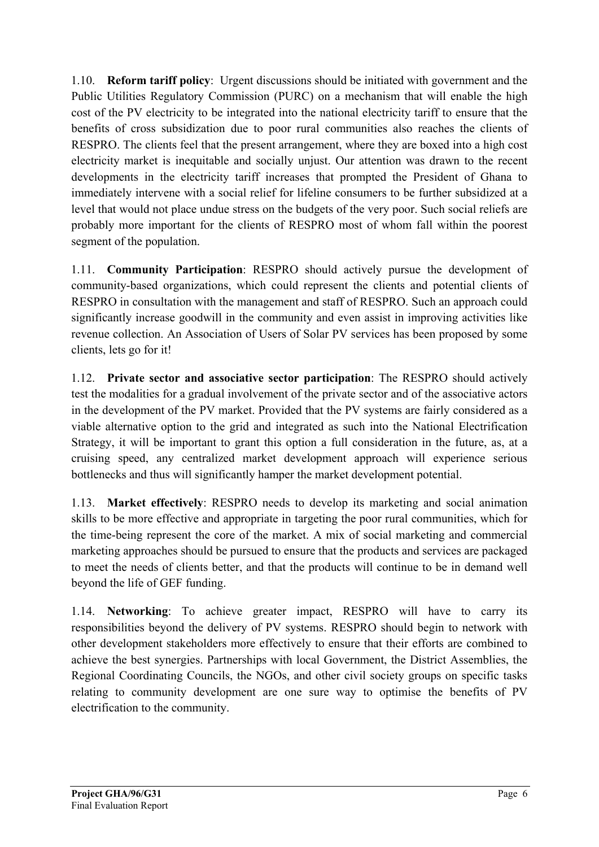1.10. **Reform tariff policy**: Urgent discussions should be initiated with government and the Public Utilities Regulatory Commission (PURC) on a mechanism that will enable the high cost of the PV electricity to be integrated into the national electricity tariff to ensure that the benefits of cross subsidization due to poor rural communities also reaches the clients of RESPRO. The clients feel that the present arrangement, where they are boxed into a high cost electricity market is inequitable and socially unjust. Our attention was drawn to the recent developments in the electricity tariff increases that prompted the President of Ghana to immediately intervene with a social relief for lifeline consumers to be further subsidized at a level that would not place undue stress on the budgets of the very poor. Such social reliefs are probably more important for the clients of RESPRO most of whom fall within the poorest segment of the population.

1.11. **Community Participation**: RESPRO should actively pursue the development of community-based organizations, which could represent the clients and potential clients of RESPRO in consultation with the management and staff of RESPRO. Such an approach could significantly increase goodwill in the community and even assist in improving activities like revenue collection. An Association of Users of Solar PV services has been proposed by some clients, lets go for it!

1.12. **Private sector and associative sector participation**: The RESPRO should actively test the modalities for a gradual involvement of the private sector and of the associative actors in the development of the PV market. Provided that the PV systems are fairly considered as a viable alternative option to the grid and integrated as such into the National Electrification Strategy, it will be important to grant this option a full consideration in the future, as, at a cruising speed, any centralized market development approach will experience serious bottlenecks and thus will significantly hamper the market development potential.

1.13. **Market effectively**: RESPRO needs to develop its marketing and social animation skills to be more effective and appropriate in targeting the poor rural communities, which for the time-being represent the core of the market. A mix of social marketing and commercial marketing approaches should be pursued to ensure that the products and services are packaged to meet the needs of clients better, and that the products will continue to be in demand well beyond the life of GEF funding.

1.14. **Networking**: To achieve greater impact, RESPRO will have to carry its responsibilities beyond the delivery of PV systems. RESPRO should begin to network with other development stakeholders more effectively to ensure that their efforts are combined to achieve the best synergies. Partnerships with local Government, the District Assemblies, the Regional Coordinating Councils, the NGOs, and other civil society groups on specific tasks relating to community development are one sure way to optimise the benefits of PV electrification to the community.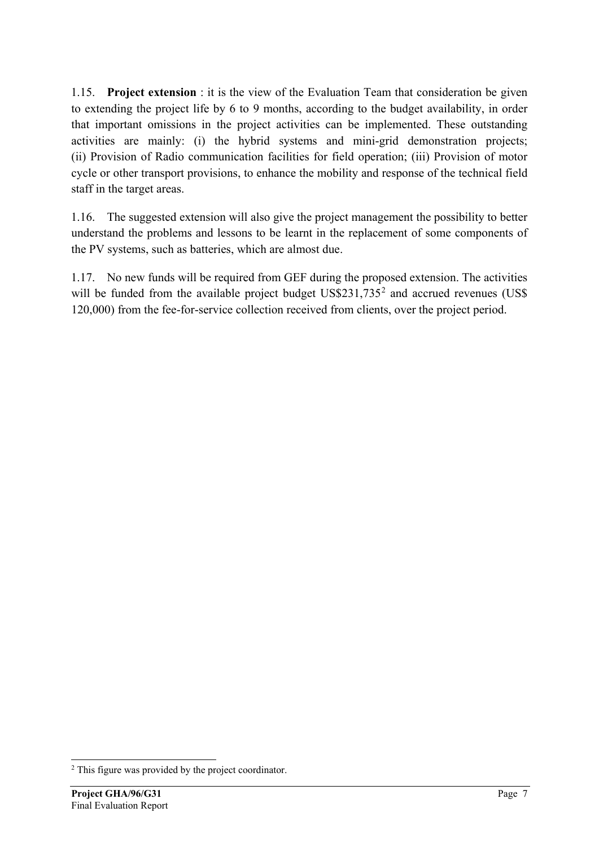1.15. **Project extension** : it is the view of the Evaluation Team that consideration be given to extending the project life by 6 to 9 months, according to the budget availability, in order that important omissions in the project activities can be implemented. These outstanding activities are mainly: (i) the hybrid systems and mini-grid demonstration projects; (ii) Provision of Radio communication facilities for field operation; (iii) Provision of motor cycle or other transport provisions, to enhance the mobility and response of the technical field staff in the target areas.

1.16. The suggested extension will also give the project management the possibility to better understand the problems and lessons to be learnt in the replacement of some components of the PV systems, such as batteries, which are almost due.

1.17. No new funds will be required from GEF during the proposed extension. The activities will be funded from the available project budget US\$[2](#page-6-0)31,735<sup>2</sup> and accrued revenues (US\$ 120,000) from the fee-for-service collection received from clients, over the project period.

-

<span id="page-6-0"></span><sup>&</sup>lt;sup>2</sup> This figure was provided by the project coordinator.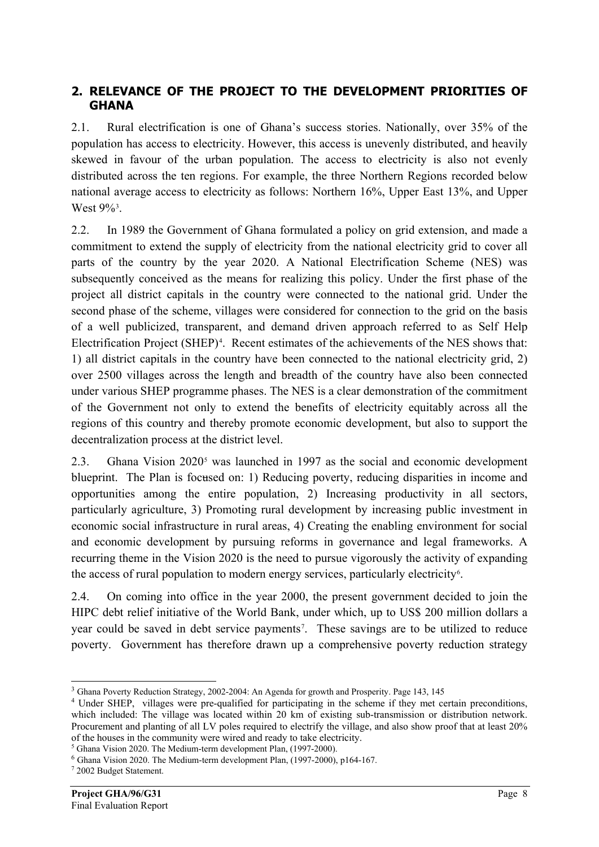## <span id="page-7-0"></span>**2. RELEVANCE OF THE PROJECT TO THE DEVELOPMENT PRIORITIES OF GHANA**

2.1. Rural electrification is one of Ghana's success stories. Nationally, over 35% of the population has access to electricity. However, this access is unevenly distributed, and heavily skewed in favour of the urban population. The access to electricity is also not evenly distributed across the ten regions. For example, the three Northern Regions recorded below national average access to electricity as follows: Northern 16%, Upper East 13%, and Upper West  $9\%$ <sup>[3](#page-7-1)</sup>.

2.2. In 1989 the Government of Ghana formulated a policy on grid extension, and made a commitment to extend the supply of electricity from the national electricity grid to cover all parts of the country by the year 2020. A National Electrification Scheme (NES) was subsequently conceived as the means for realizing this policy. Under the first phase of the project all district capitals in the country were connected to the national grid. Under the second phase of the scheme, villages were considered for connection to the grid on the basis of a well publicized, transparent, and demand driven approach referred to as Self Help Electrification Project (SHEP)<sup>[4](#page-7-2)</sup>. Recent estimates of the achievements of the NES shows that: 1) all district capitals in the country have been connected to the national electricity grid, 2) over 2500 villages across the length and breadth of the country have also been connected under various SHEP programme phases. The NES is a clear demonstration of the commitment of the Government not only to extend the benefits of electricity equitably across all the regions of this country and thereby promote economic development, but also to support the decentralization process at the district level.

2.3. Ghana Vision  $2020<sup>5</sup>$  $2020<sup>5</sup>$  $2020<sup>5</sup>$  was launched in 1997 as the social and economic development blueprint. The Plan is focused on: 1) Reducing poverty, reducing disparities in income and opportunities among the entire population, 2) Increasing productivity in all sectors, particularly agriculture, 3) Promoting rural development by increasing public investment in economic social infrastructure in rural areas, 4) Creating the enabling environment for social and economic development by pursuing reforms in governance and legal frameworks. A recurring theme in the Vision 2020 is the need to pursue vigorously the activity of expanding the access of rural population to modern energy services, particularly electricity<sup>[6](#page-7-4)</sup>.

2.4. On coming into office in the year 2000, the present government decided to join the HIPC debt relief initiative of the World Bank, under which, up to US\$ 200 million dollars a year could be saved in debt service payments[7](#page-7-5) . These savings are to be utilized to reduce poverty. Government has therefore drawn up a comprehensive poverty reduction strategy

-

<span id="page-7-1"></span><sup>3</sup> Ghana Poverty Reduction Strategy, 2002-2004: An Agenda for growth and Prosperity. Page 143, 145

<span id="page-7-2"></span><sup>4</sup> Under SHEP, villages were pre-qualified for participating in the scheme if they met certain preconditions, which included: The village was located within 20 km of existing sub-transmission or distribution network. Procurement and planting of all LV poles required to electrify the village, and also show proof that at least 20% of the houses in the community were wired and ready to take electricity.<sup>5</sup> Ghana Vision 2020. The Medium-term development Plan, (1997-2000).

<span id="page-7-3"></span>

<span id="page-7-4"></span> $<sup>6</sup>$  Ghana Vision 2020. The Medium-term development Plan, (1997-2000), p164-167.</sup>

<span id="page-7-5"></span><sup>7</sup> 2002 Budget Statement.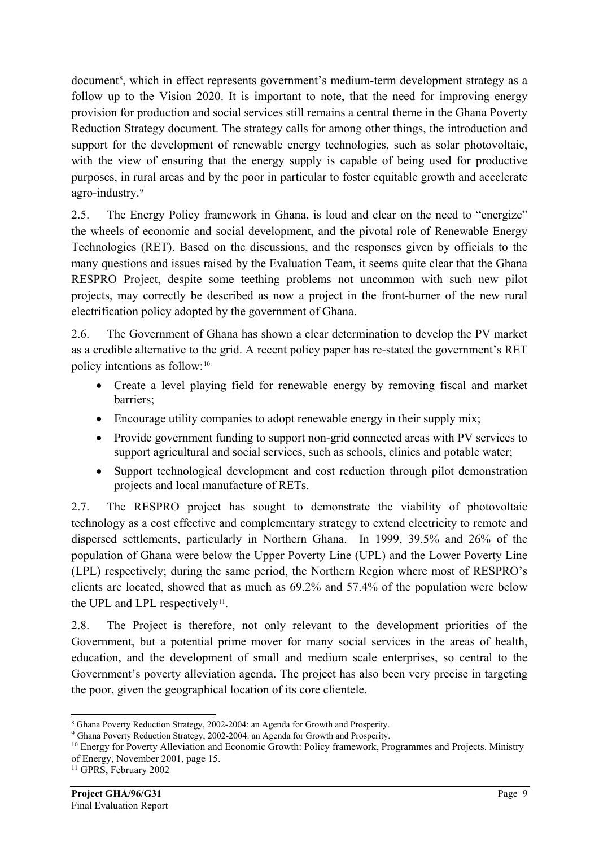document<sup>[8](#page-8-0)</sup>, which in effect represents government's medium-term development strategy as a follow up to the Vision 2020. It is important to note, that the need for improving energy provision for production and social services still remains a central theme in the Ghana Poverty Reduction Strategy document. The strategy calls for among other things, the introduction and support for the development of renewable energy technologies, such as solar photovoltaic, with the view of ensuring that the energy supply is capable of being used for productive purposes, in rural areas and by the poor in particular to foster equitable growth and accelerate agro-industry.[9](#page-8-1)

2.5. The Energy Policy framework in Ghana, is loud and clear on the need to "energize" the wheels of economic and social development, and the pivotal role of Renewable Energy Technologies (RET). Based on the discussions, and the responses given by officials to the many questions and issues raised by the Evaluation Team, it seems quite clear that the Ghana RESPRO Project, despite some teething problems not uncommon with such new pilot projects, may correctly be described as now a project in the front-burner of the new rural electrification policy adopted by the government of Ghana.

2.6. The Government of Ghana has shown a clear determination to develop the PV market as a credible alternative to the grid. A recent policy paper has re-stated the government's RET policy intentions as follow:[10:](#page-8-2)

- Create a level playing field for renewable energy by removing fiscal and market barriers;
- Encourage utility companies to adopt renewable energy in their supply mix;
- Provide government funding to support non-grid connected areas with PV services to support agricultural and social services, such as schools, clinics and potable water;
- Support technological development and cost reduction through pilot demonstration projects and local manufacture of RETs.

2.7. The RESPRO project has sought to demonstrate the viability of photovoltaic technology as a cost effective and complementary strategy to extend electricity to remote and dispersed settlements, particularly in Northern Ghana. In 1999, 39.5% and 26% of the population of Ghana were below the Upper Poverty Line (UPL) and the Lower Poverty Line (LPL) respectively; during the same period, the Northern Region where most of RESPRO's clients are located, showed that as much as 69.2% and 57.4% of the population were below the UPL and LPL respectively<sup>11</sup>.

2.8. The Project is therefore, not only relevant to the development priorities of the Government, but a potential prime mover for many social services in the areas of health, education, and the development of small and medium scale enterprises, so central to the Government's poverty alleviation agenda. The project has also been very precise in targeting the poor, given the geographical location of its core clientele.

<sup>-</sup><sup>8</sup> Ghana Poverty Reduction Strategy, 2002-2004: an Agenda for Growth and Prosperity.

<span id="page-8-1"></span><span id="page-8-0"></span><sup>9</sup> Ghana Poverty Reduction Strategy, 2002-2004: an Agenda for Growth and Prosperity.

<span id="page-8-2"></span><sup>&</sup>lt;sup>10</sup> Energy for Poverty Alleviation and Economic Growth: Policy framework, Programmes and Projects. Ministry of Energy, November 2001, page 15.

<span id="page-8-3"></span><sup>11</sup> GPRS, February 2002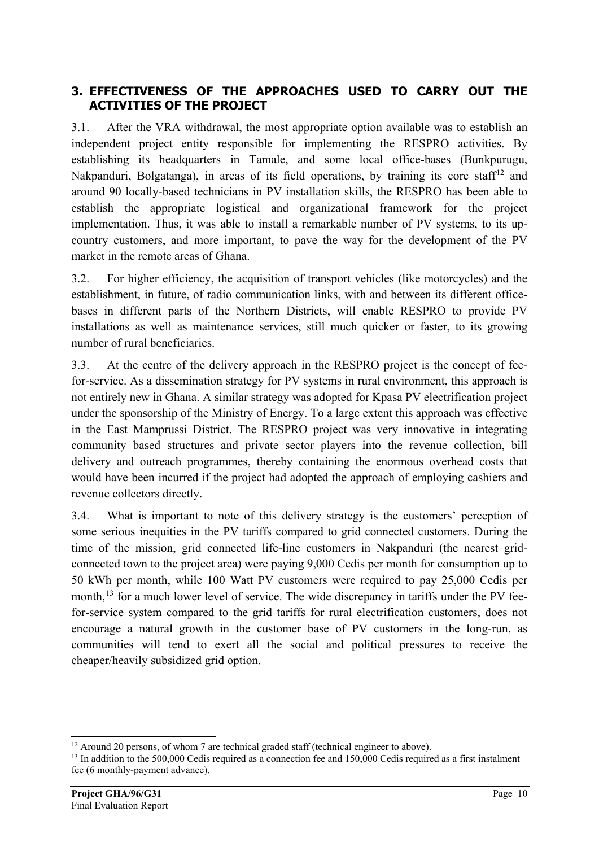## <span id="page-9-0"></span>**3. EFFECTIVENESS OF THE APPROACHES USED TO CARRY OUT THE ACTIVITIES OF THE PROJECT**

3.1. After the VRA withdrawal, the most appropriate option available was to establish an independent project entity responsible for implementing the RESPRO activities. By establishing its headquarters in Tamale, and some local office-bases (Bunkpurugu, Nakpanduri, Bolgatanga), in areas of its field operations, by training its core staff<sup>[12](#page-9-1)</sup> and around 90 locally-based technicians in PV installation skills, the RESPRO has been able to establish the appropriate logistical and organizational framework for the project implementation. Thus, it was able to install a remarkable number of PV systems, to its upcountry customers, and more important, to pave the way for the development of the PV market in the remote areas of Ghana.

3.2. For higher efficiency, the acquisition of transport vehicles (like motorcycles) and the establishment, in future, of radio communication links, with and between its different officebases in different parts of the Northern Districts, will enable RESPRO to provide PV installations as well as maintenance services, still much quicker or faster, to its growing number of rural beneficiaries.

3.3. At the centre of the delivery approach in the RESPRO project is the concept of feefor-service. As a dissemination strategy for PV systems in rural environment, this approach is not entirely new in Ghana. A similar strategy was adopted for Kpasa PV electrification project under the sponsorship of the Ministry of Energy. To a large extent this approach was effective in the East Mamprussi District. The RESPRO project was very innovative in integrating community based structures and private sector players into the revenue collection, bill delivery and outreach programmes, thereby containing the enormous overhead costs that would have been incurred if the project had adopted the approach of employing cashiers and revenue collectors directly.

3.4. What is important to note of this delivery strategy is the customers' perception of some serious inequities in the PV tariffs compared to grid connected customers. During the time of the mission, grid connected life-line customers in Nakpanduri (the nearest gridconnected town to the project area) were paying 9,000 Cedis per month for consumption up to 50 kWh per month, while 100 Watt PV customers were required to pay 25,000 Cedis per month,<sup>[13](#page-9-2)</sup> for a much lower level of service. The wide discrepancy in tariffs under the PV feefor-service system compared to the grid tariffs for rural electrification customers, does not encourage a natural growth in the customer base of PV customers in the long-run, as communities will tend to exert all the social and political pressures to receive the cheaper/heavily subsidized grid option.

<sup>-</sup> $12$  Around 20 persons, of whom 7 are technical graded staff (technical engineer to above).

<span id="page-9-2"></span><span id="page-9-1"></span><sup>&</sup>lt;sup>13</sup> In addition to the 500,000 Cedis required as a connection fee and 150,000 Cedis required as a first instalment fee (6 monthly-payment advance).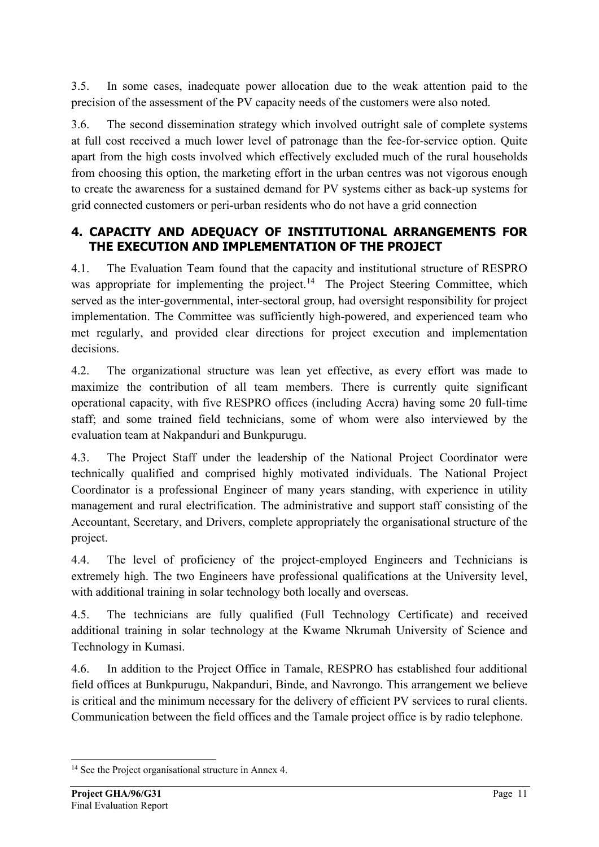3.5. In some cases, inadequate power allocation due to the weak attention paid to the precision of the assessment of the PV capacity needs of the customers were also noted.

3.6. The second dissemination strategy which involved outright sale of complete systems at full cost received a much lower level of patronage than the fee-for-service option. Quite apart from the high costs involved which effectively excluded much of the rural households from choosing this option, the marketing effort in the urban centres was not vigorous enough to create the awareness for a sustained demand for PV systems either as back-up systems for grid connected customers or peri-urban residents who do not have a grid connection

## <span id="page-10-0"></span>**4. CAPACITY AND ADEQUACY OF INSTITUTIONAL ARRANGEMENTS FOR THE EXECUTION AND IMPLEMENTATION OF THE PROJECT**

4.1. The Evaluation Team found that the capacity and institutional structure of RESPRO was appropriate for implementing the project.<sup>[14](#page-10-1)</sup> The Project Steering Committee, which served as the inter-governmental, inter-sectoral group, had oversight responsibility for project implementation. The Committee was sufficiently high-powered, and experienced team who met regularly, and provided clear directions for project execution and implementation decisions.

4.2. The organizational structure was lean yet effective, as every effort was made to maximize the contribution of all team members. There is currently quite significant operational capacity, with five RESPRO offices (including Accra) having some 20 full-time staff; and some trained field technicians, some of whom were also interviewed by the evaluation team at Nakpanduri and Bunkpurugu.

4.3. The Project Staff under the leadership of the National Project Coordinator were technically qualified and comprised highly motivated individuals. The National Project Coordinator is a professional Engineer of many years standing, with experience in utility management and rural electrification. The administrative and support staff consisting of the Accountant, Secretary, and Drivers, complete appropriately the organisational structure of the project.

4.4. The level of proficiency of the project-employed Engineers and Technicians is extremely high. The two Engineers have professional qualifications at the University level, with additional training in solar technology both locally and overseas.

4.5. The technicians are fully qualified (Full Technology Certificate) and received additional training in solar technology at the Kwame Nkrumah University of Science and Technology in Kumasi.

4.6. In addition to the Project Office in Tamale, RESPRO has established four additional field offices at Bunkpurugu, Nakpanduri, Binde, and Navrongo. This arrangement we believe is critical and the minimum necessary for the delivery of efficient PV services to rural clients. Communication between the field offices and the Tamale project office is by radio telephone.

-

<span id="page-10-1"></span><sup>&</sup>lt;sup>14</sup> See the Project organisational structure in Annex 4.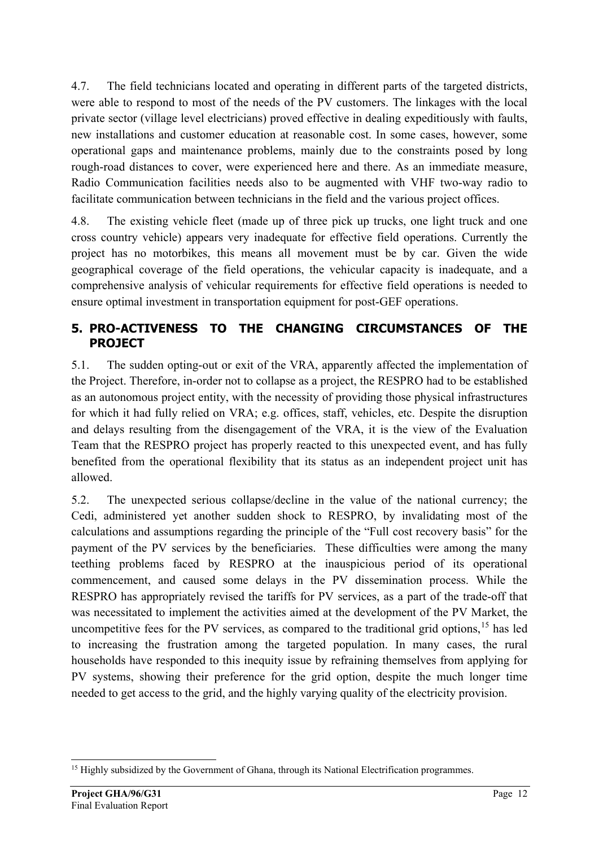4.7. The field technicians located and operating in different parts of the targeted districts, were able to respond to most of the needs of the PV customers. The linkages with the local private sector (village level electricians) proved effective in dealing expeditiously with faults, new installations and customer education at reasonable cost. In some cases, however, some operational gaps and maintenance problems, mainly due to the constraints posed by long rough-road distances to cover, were experienced here and there. As an immediate measure, Radio Communication facilities needs also to be augmented with VHF two-way radio to facilitate communication between technicians in the field and the various project offices.

4.8. The existing vehicle fleet (made up of three pick up trucks, one light truck and one cross country vehicle) appears very inadequate for effective field operations. Currently the project has no motorbikes, this means all movement must be by car. Given the wide geographical coverage of the field operations, the vehicular capacity is inadequate, and a comprehensive analysis of vehicular requirements for effective field operations is needed to ensure optimal investment in transportation equipment for post-GEF operations.

## <span id="page-11-0"></span>**5. PRO-ACTIVENESS TO THE CHANGING CIRCUMSTANCES OF THE PROJECT**

5.1. The sudden opting-out or exit of the VRA, apparently affected the implementation of the Project. Therefore, in-order not to collapse as a project, the RESPRO had to be established as an autonomous project entity, with the necessity of providing those physical infrastructures for which it had fully relied on VRA; e.g. offices, staff, vehicles, etc. Despite the disruption and delays resulting from the disengagement of the VRA, it is the view of the Evaluation Team that the RESPRO project has properly reacted to this unexpected event, and has fully benefited from the operational flexibility that its status as an independent project unit has allowed.

5.2. The unexpected serious collapse/decline in the value of the national currency; the Cedi, administered yet another sudden shock to RESPRO, by invalidating most of the calculations and assumptions regarding the principle of the "Full cost recovery basis" for the payment of the PV services by the beneficiaries. These difficulties were among the many teething problems faced by RESPRO at the inauspicious period of its operational commencement, and caused some delays in the PV dissemination process. While the RESPRO has appropriately revised the tariffs for PV services, as a part of the trade-off that was necessitated to implement the activities aimed at the development of the PV Market, the uncompetitive fees for the PV services, as compared to the traditional grid options,  $15$  has led to increasing the frustration among the targeted population. In many cases, the rural households have responded to this inequity issue by refraining themselves from applying for PV systems, showing their preference for the grid option, despite the much longer time needed to get access to the grid, and the highly varying quality of the electricity provision.

<span id="page-11-1"></span><sup>-</sup><sup>15</sup> Highly subsidized by the Government of Ghana, through its National Electrification programmes.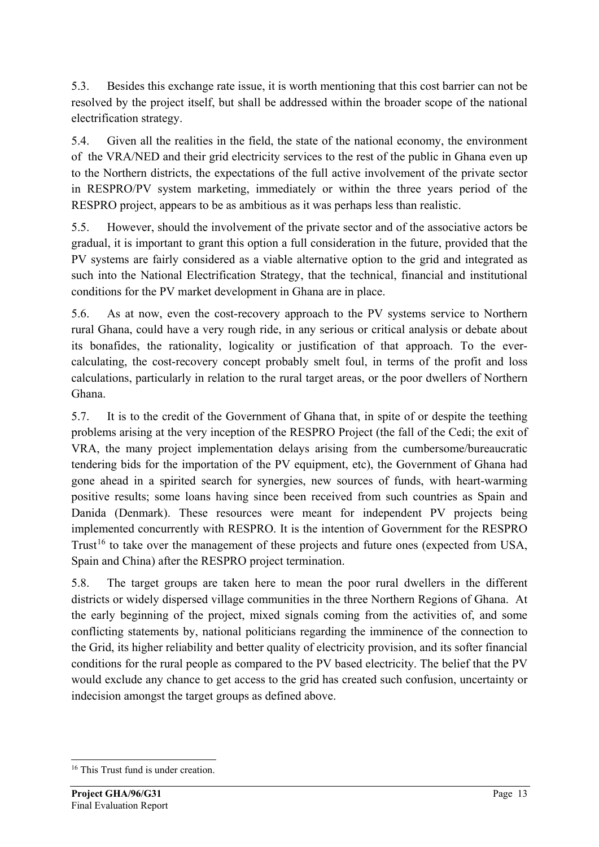5.3. Besides this exchange rate issue, it is worth mentioning that this cost barrier can not be resolved by the project itself, but shall be addressed within the broader scope of the national electrification strategy.

5.4. Given all the realities in the field, the state of the national economy, the environment of the VRA/NED and their grid electricity services to the rest of the public in Ghana even up to the Northern districts, the expectations of the full active involvement of the private sector in RESPRO/PV system marketing, immediately or within the three years period of the RESPRO project, appears to be as ambitious as it was perhaps less than realistic.

5.5. However, should the involvement of the private sector and of the associative actors be gradual, it is important to grant this option a full consideration in the future, provided that the PV systems are fairly considered as a viable alternative option to the grid and integrated as such into the National Electrification Strategy, that the technical, financial and institutional conditions for the PV market development in Ghana are in place.

5.6. As at now, even the cost-recovery approach to the PV systems service to Northern rural Ghana, could have a very rough ride, in any serious or critical analysis or debate about its bonafides, the rationality, logicality or justification of that approach. To the evercalculating, the cost-recovery concept probably smelt foul, in terms of the profit and loss calculations, particularly in relation to the rural target areas, or the poor dwellers of Northern Ghana.

5.7. It is to the credit of the Government of Ghana that, in spite of or despite the teething problems arising at the very inception of the RESPRO Project (the fall of the Cedi; the exit of VRA, the many project implementation delays arising from the cumbersome/bureaucratic tendering bids for the importation of the PV equipment, etc), the Government of Ghana had gone ahead in a spirited search for synergies, new sources of funds, with heart-warming positive results; some loans having since been received from such countries as Spain and Danida (Denmark). These resources were meant for independent PV projects being implemented concurrently with RESPRO. It is the intention of Government for the RESPRO Trust<sup>[16](#page-12-0)</sup> to take over the management of these projects and future ones (expected from USA, Spain and China) after the RESPRO project termination.

5.8. The target groups are taken here to mean the poor rural dwellers in the different districts or widely dispersed village communities in the three Northern Regions of Ghana. At the early beginning of the project, mixed signals coming from the activities of, and some conflicting statements by, national politicians regarding the imminence of the connection to the Grid, its higher reliability and better quality of electricity provision, and its softer financial conditions for the rural people as compared to the PV based electricity. The belief that the PV would exclude any chance to get access to the grid has created such confusion, uncertainty or indecision amongst the target groups as defined above.

-

<span id="page-12-0"></span><sup>&</sup>lt;sup>16</sup> This Trust fund is under creation.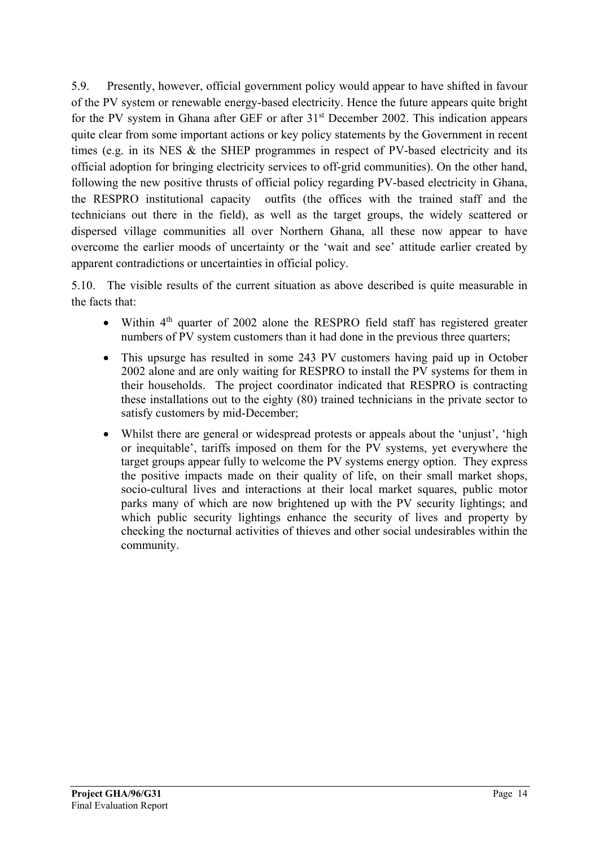5.9. Presently, however, official government policy would appear to have shifted in favour of the PV system or renewable energy-based electricity. Hence the future appears quite bright for the PV system in Ghana after GEF or after 31<sup>st</sup> December 2002. This indication appears quite clear from some important actions or key policy statements by the Government in recent times (e.g. in its NES & the SHEP programmes in respect of PV-based electricity and its official adoption for bringing electricity services to off-grid communities). On the other hand, following the new positive thrusts of official policy regarding PV-based electricity in Ghana, the RESPRO institutional capacity outfits (the offices with the trained staff and the technicians out there in the field), as well as the target groups, the widely scattered or dispersed village communities all over Northern Ghana, all these now appear to have overcome the earlier moods of uncertainty or the 'wait and see' attitude earlier created by apparent contradictions or uncertainties in official policy.

5.10. The visible results of the current situation as above described is quite measurable in the facts that:

- Within  $4<sup>th</sup>$  quarter of 2002 alone the RESPRO field staff has registered greater numbers of PV system customers than it had done in the previous three quarters;
- This upsurge has resulted in some 243 PV customers having paid up in October 2002 alone and are only waiting for RESPRO to install the PV systems for them in their households. The project coordinator indicated that RESPRO is contracting these installations out to the eighty (80) trained technicians in the private sector to satisfy customers by mid-December;
- Whilst there are general or widespread protests or appeals about the 'unjust', 'high or inequitable', tariffs imposed on them for the PV systems, yet everywhere the target groups appear fully to welcome the PV systems energy option. They express the positive impacts made on their quality of life, on their small market shops, socio-cultural lives and interactions at their local market squares, public motor parks many of which are now brightened up with the PV security lightings; and which public security lightings enhance the security of lives and property by checking the nocturnal activities of thieves and other social undesirables within the community.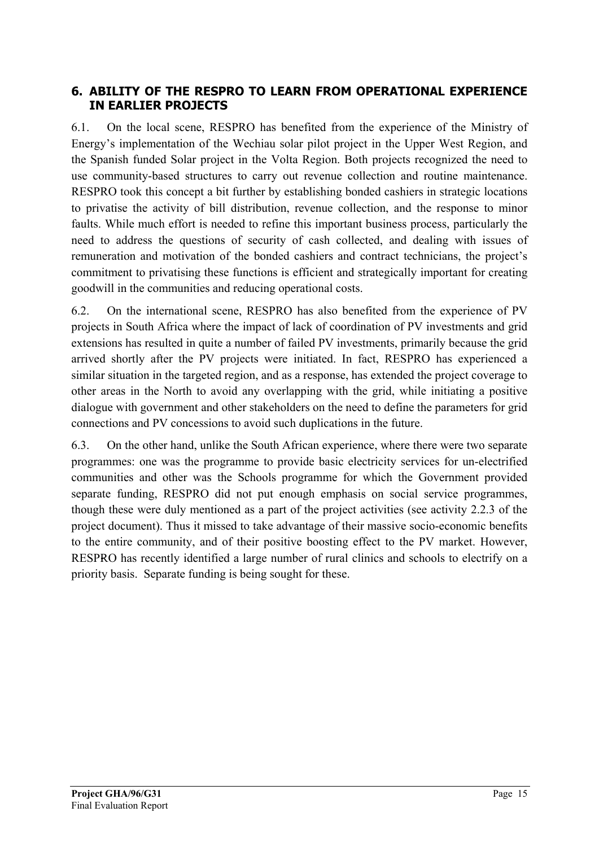## <span id="page-14-0"></span>**6. ABILITY OF THE RESPRO TO LEARN FROM OPERATIONAL EXPERIENCE IN EARLIER PROJECTS**

6.1. On the local scene, RESPRO has benefited from the experience of the Ministry of Energy's implementation of the Wechiau solar pilot project in the Upper West Region, and the Spanish funded Solar project in the Volta Region. Both projects recognized the need to use community-based structures to carry out revenue collection and routine maintenance. RESPRO took this concept a bit further by establishing bonded cashiers in strategic locations to privatise the activity of bill distribution, revenue collection, and the response to minor faults. While much effort is needed to refine this important business process, particularly the need to address the questions of security of cash collected, and dealing with issues of remuneration and motivation of the bonded cashiers and contract technicians, the project's commitment to privatising these functions is efficient and strategically important for creating goodwill in the communities and reducing operational costs.

6.2. On the international scene, RESPRO has also benefited from the experience of PV projects in South Africa where the impact of lack of coordination of PV investments and grid extensions has resulted in quite a number of failed PV investments, primarily because the grid arrived shortly after the PV projects were initiated. In fact, RESPRO has experienced a similar situation in the targeted region, and as a response, has extended the project coverage to other areas in the North to avoid any overlapping with the grid, while initiating a positive dialogue with government and other stakeholders on the need to define the parameters for grid connections and PV concessions to avoid such duplications in the future.

6.3. On the other hand, unlike the South African experience, where there were two separate programmes: one was the programme to provide basic electricity services for un-electrified communities and other was the Schools programme for which the Government provided separate funding, RESPRO did not put enough emphasis on social service programmes, though these were duly mentioned as a part of the project activities (see activity 2.2.3 of the project document). Thus it missed to take advantage of their massive socio-economic benefits to the entire community, and of their positive boosting effect to the PV market. However, RESPRO has recently identified a large number of rural clinics and schools to electrify on a priority basis. Separate funding is being sought for these.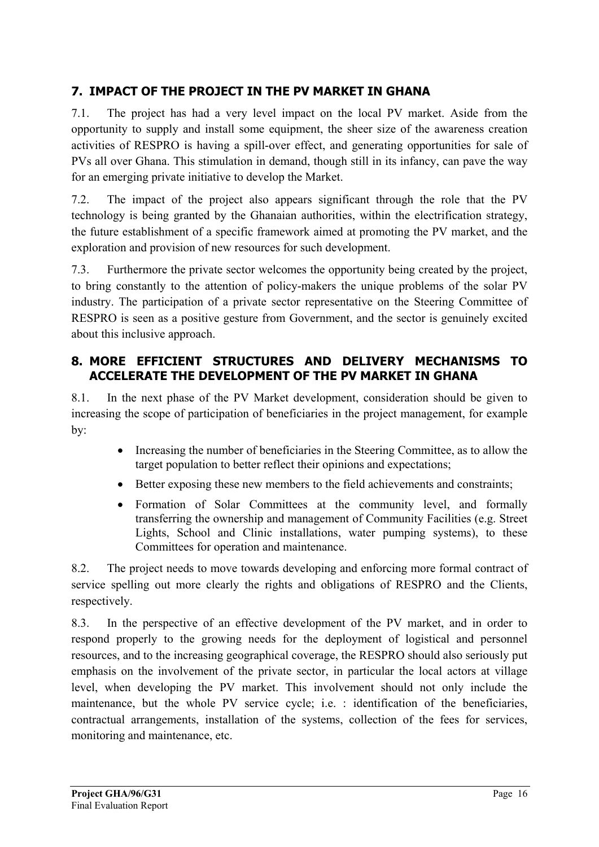## <span id="page-15-0"></span>**7. IMPACT OF THE PROJECT IN THE PV MARKET IN GHANA**

7.1. The project has had a very level impact on the local PV market. Aside from the opportunity to supply and install some equipment, the sheer size of the awareness creation activities of RESPRO is having a spill-over effect, and generating opportunities for sale of PVs all over Ghana. This stimulation in demand, though still in its infancy, can pave the way for an emerging private initiative to develop the Market.

7.2. The impact of the project also appears significant through the role that the PV technology is being granted by the Ghanaian authorities, within the electrification strategy, the future establishment of a specific framework aimed at promoting the PV market, and the exploration and provision of new resources for such development.

7.3. Furthermore the private sector welcomes the opportunity being created by the project, to bring constantly to the attention of policy-makers the unique problems of the solar PV industry. The participation of a private sector representative on the Steering Committee of RESPRO is seen as a positive gesture from Government, and the sector is genuinely excited about this inclusive approach.

## <span id="page-15-1"></span>**8. MORE EFFICIENT STRUCTURES AND DELIVERY MECHANISMS TO ACCELERATE THE DEVELOPMENT OF THE PV MARKET IN GHANA**

8.1. In the next phase of the PV Market development, consideration should be given to increasing the scope of participation of beneficiaries in the project management, for example by:

- Increasing the number of beneficiaries in the Steering Committee, as to allow the target population to better reflect their opinions and expectations;
- Better exposing these new members to the field achievements and constraints;
- Formation of Solar Committees at the community level, and formally transferring the ownership and management of Community Facilities (e.g. Street Lights, School and Clinic installations, water pumping systems), to these Committees for operation and maintenance.

8.2. The project needs to move towards developing and enforcing more formal contract of service spelling out more clearly the rights and obligations of RESPRO and the Clients, respectively.

8.3. In the perspective of an effective development of the PV market, and in order to respond properly to the growing needs for the deployment of logistical and personnel resources, and to the increasing geographical coverage, the RESPRO should also seriously put emphasis on the involvement of the private sector, in particular the local actors at village level, when developing the PV market. This involvement should not only include the maintenance, but the whole PV service cycle; i.e. : identification of the beneficiaries, contractual arrangements, installation of the systems, collection of the fees for services, monitoring and maintenance, etc.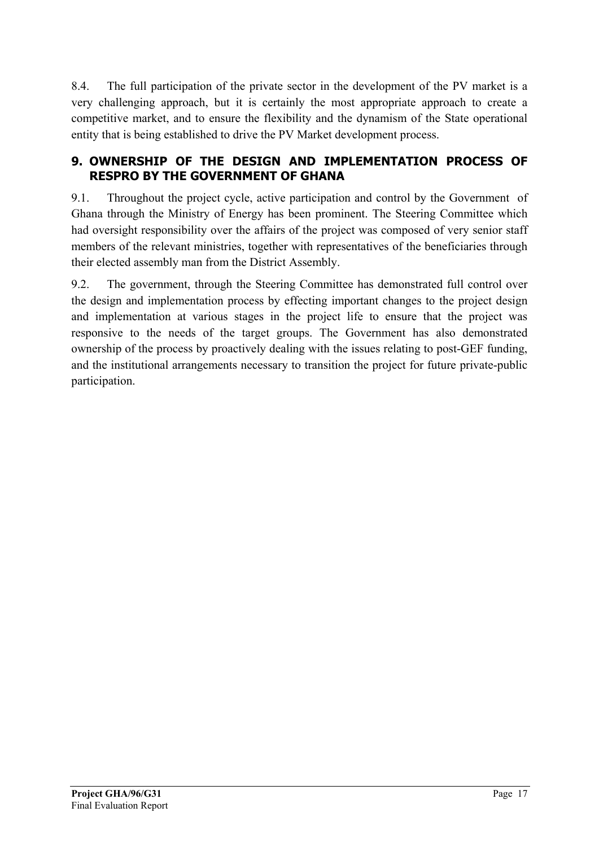8.4. The full participation of the private sector in the development of the PV market is a very challenging approach, but it is certainly the most appropriate approach to create a competitive market, and to ensure the flexibility and the dynamism of the State operational entity that is being established to drive the PV Market development process.

## <span id="page-16-0"></span>**9. OWNERSHIP OF THE DESIGN AND IMPLEMENTATION PROCESS OF RESPRO BY THE GOVERNMENT OF GHANA**

9.1. Throughout the project cycle, active participation and control by the Government of Ghana through the Ministry of Energy has been prominent. The Steering Committee which had oversight responsibility over the affairs of the project was composed of very senior staff members of the relevant ministries, together with representatives of the beneficiaries through their elected assembly man from the District Assembly.

9.2. The government, through the Steering Committee has demonstrated full control over the design and implementation process by effecting important changes to the project design and implementation at various stages in the project life to ensure that the project was responsive to the needs of the target groups. The Government has also demonstrated ownership of the process by proactively dealing with the issues relating to post-GEF funding, and the institutional arrangements necessary to transition the project for future private-public participation.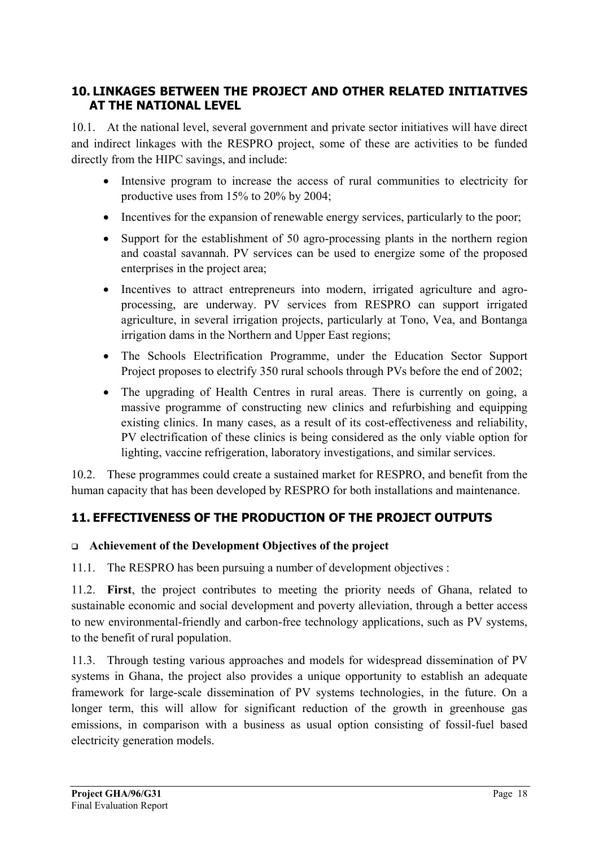## <span id="page-17-0"></span>**10. LINKAGES BETWEEN THE PROJECT AND OTHER RELATED INITIATIVES AT THE NATIONAL LEVEL**

10.1. At the national level, several government and private sector initiatives will have direct and indirect linkages with the RESPRO project, some of these are activities to be funded directly from the HIPC savings, and include:

- Intensive program to increase the access of rural communities to electricity for productive uses from 15% to 20% by 2004;
- Incentives for the expansion of renewable energy services, particularly to the poor;
- Support for the establishment of 50 agro-processing plants in the northern region and coastal savannah. PV services can be used to energize some of the proposed enterprises in the project area;
- Incentives to attract entrepreneurs into modern, irrigated agriculture and agroprocessing, are underway. PV services from RESPRO can support irrigated agriculture, in several irrigation projects, particularly at Tono, Vea, and Bontanga irrigation dams in the Northern and Upper East regions;
- The Schools Electrification Programme, under the Education Sector Support Project proposes to electrify 350 rural schools through PVs before the end of 2002;
- The upgrading of Health Centres in rural areas. There is currently on going, a massive programme of constructing new clinics and refurbishing and equipping existing clinics. In many cases, as a result of its cost-effectiveness and reliability, PV electrification of these clinics is being considered as the only viable option for lighting, vaccine refrigeration, laboratory investigations, and similar services.

10.2. These programmes could create a sustained market for RESPRO, and benefit from the human capacity that has been developed by RESPRO for both installations and maintenance.

## <span id="page-17-1"></span>**11. EFFECTIVENESS OF THE PRODUCTION OF THE PROJECT OUTPUTS**

### **Achievement of the Development Objectives of the project**

11.1. The RESPRO has been pursuing a number of development objectives :

11.2. **First**, the project contributes to meeting the priority needs of Ghana, related to sustainable economic and social development and poverty alleviation, through a better access to new environmental-friendly and carbon-free technology applications, such as PV systems, to the benefit of rural population.

11.3. Through testing various approaches and models for widespread dissemination of PV systems in Ghana, the project also provides a unique opportunity to establish an adequate framework for large-scale dissemination of PV systems technologies, in the future. On a longer term, this will allow for significant reduction of the growth in greenhouse gas emissions, in comparison with a business as usual option consisting of fossil-fuel based electricity generation models.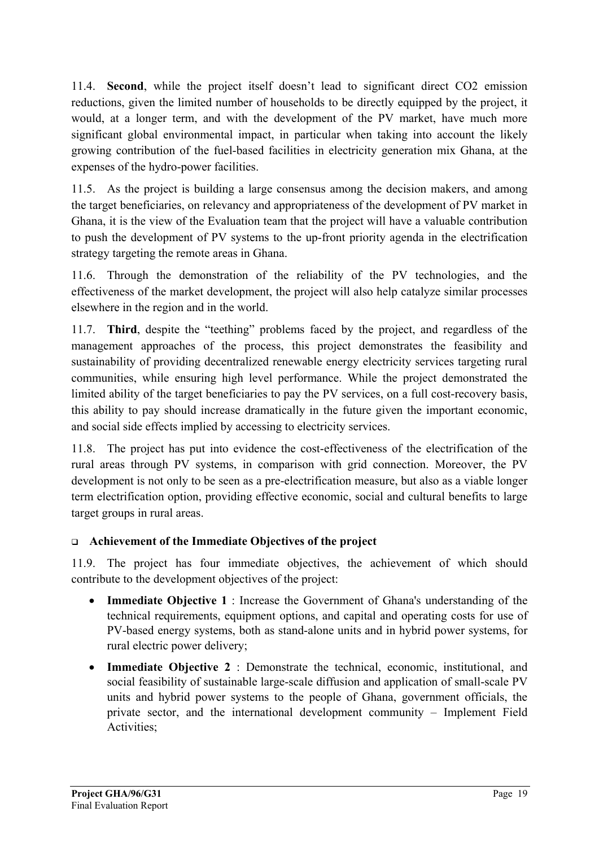11.4. **Second**, while the project itself doesn't lead to significant direct CO2 emission reductions, given the limited number of households to be directly equipped by the project, it would, at a longer term, and with the development of the PV market, have much more significant global environmental impact, in particular when taking into account the likely growing contribution of the fuel-based facilities in electricity generation mix Ghana, at the expenses of the hydro-power facilities.

11.5. As the project is building a large consensus among the decision makers, and among the target beneficiaries, on relevancy and appropriateness of the development of PV market in Ghana, it is the view of the Evaluation team that the project will have a valuable contribution to push the development of PV systems to the up-front priority agenda in the electrification strategy targeting the remote areas in Ghana.

11.6. Through the demonstration of the reliability of the PV technologies, and the effectiveness of the market development, the project will also help catalyze similar processes elsewhere in the region and in the world.

11.7. **Third**, despite the "teething" problems faced by the project, and regardless of the management approaches of the process, this project demonstrates the feasibility and sustainability of providing decentralized renewable energy electricity services targeting rural communities, while ensuring high level performance. While the project demonstrated the limited ability of the target beneficiaries to pay the PV services, on a full cost-recovery basis, this ability to pay should increase dramatically in the future given the important economic, and social side effects implied by accessing to electricity services.

11.8. The project has put into evidence the cost-effectiveness of the electrification of the rural areas through PV systems, in comparison with grid connection. Moreover, the PV development is not only to be seen as a pre-electrification measure, but also as a viable longer term electrification option, providing effective economic, social and cultural benefits to large target groups in rural areas.

### **Achievement of the Immediate Objectives of the project**

11.9. The project has four immediate objectives, the achievement of which should contribute to the development objectives of the project:

- **Immediate Objective 1** : Increase the Government of Ghana's understanding of the technical requirements, equipment options, and capital and operating costs for use of PV-based energy systems, both as stand-alone units and in hybrid power systems, for rural electric power delivery;
- **Immediate Objective 2** : Demonstrate the technical, economic, institutional, and social feasibility of sustainable large-scale diffusion and application of small-scale PV units and hybrid power systems to the people of Ghana, government officials, the private sector, and the international development community – Implement Field Activities;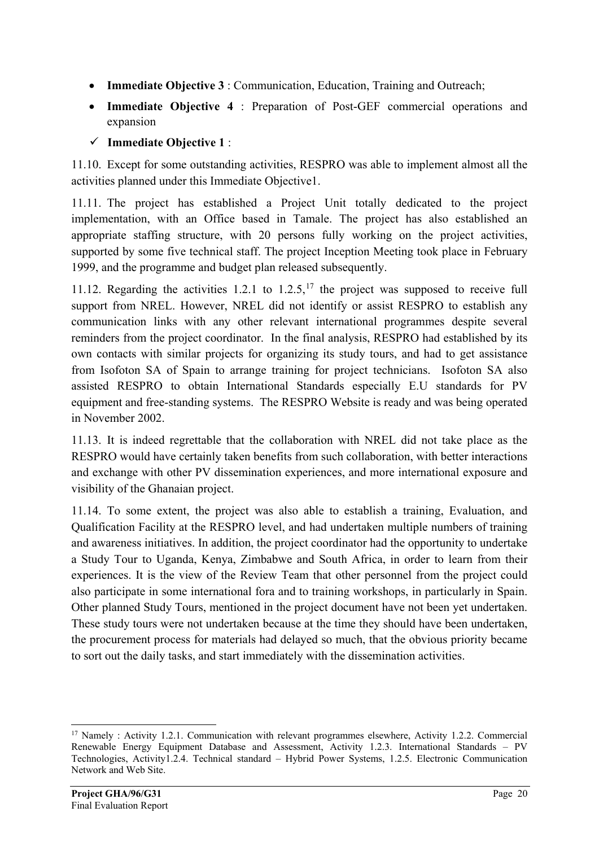- **Immediate Objective 3** : Communication, Education, Training and Outreach;
- **Immediate Objective 4** : Preparation of Post-GEF commercial operations and expansion
- **Immediate Objective 1** :

11.10. Except for some outstanding activities, RESPRO was able to implement almost all the activities planned under this Immediate Objective1.

11.11. The project has established a Project Unit totally dedicated to the project implementation, with an Office based in Tamale. The project has also established an appropriate staffing structure, with 20 persons fully working on the project activities, supported by some five technical staff. The project Inception Meeting took place in February 1999, and the programme and budget plan released subsequently.

11.12. Regarding the activities 1.2.1 to  $1.2.5$ ,<sup>[17](#page-19-0)</sup> the project was supposed to receive full support from NREL. However, NREL did not identify or assist RESPRO to establish any communication links with any other relevant international programmes despite several reminders from the project coordinator. In the final analysis, RESPRO had established by its own contacts with similar projects for organizing its study tours, and had to get assistance from Isofoton SA of Spain to arrange training for project technicians. Isofoton SA also assisted RESPRO to obtain International Standards especially E.U standards for PV equipment and free-standing systems. The RESPRO Website is ready and was being operated in November 2002.

11.13. It is indeed regrettable that the collaboration with NREL did not take place as the RESPRO would have certainly taken benefits from such collaboration, with better interactions and exchange with other PV dissemination experiences, and more international exposure and visibility of the Ghanaian project.

11.14. To some extent, the project was also able to establish a training, Evaluation, and Qualification Facility at the RESPRO level, and had undertaken multiple numbers of training and awareness initiatives. In addition, the project coordinator had the opportunity to undertake a Study Tour to Uganda, Kenya, Zimbabwe and South Africa, in order to learn from their experiences. It is the view of the Review Team that other personnel from the project could also participate in some international fora and to training workshops, in particularly in Spain. Other planned Study Tours, mentioned in the project document have not been yet undertaken. These study tours were not undertaken because at the time they should have been undertaken, the procurement process for materials had delayed so much, that the obvious priority became to sort out the daily tasks, and start immediately with the dissemination activities.

-

<span id="page-19-0"></span><sup>&</sup>lt;sup>17</sup> Namely : Activity 1.2.1. Communication with relevant programmes elsewhere, Activity 1.2.2. Commercial Renewable Energy Equipment Database and Assessment, Activity 1.2.3. International Standards – PV Technologies, Activity1.2.4. Technical standard – Hybrid Power Systems, 1.2.5. Electronic Communication Network and Web Site.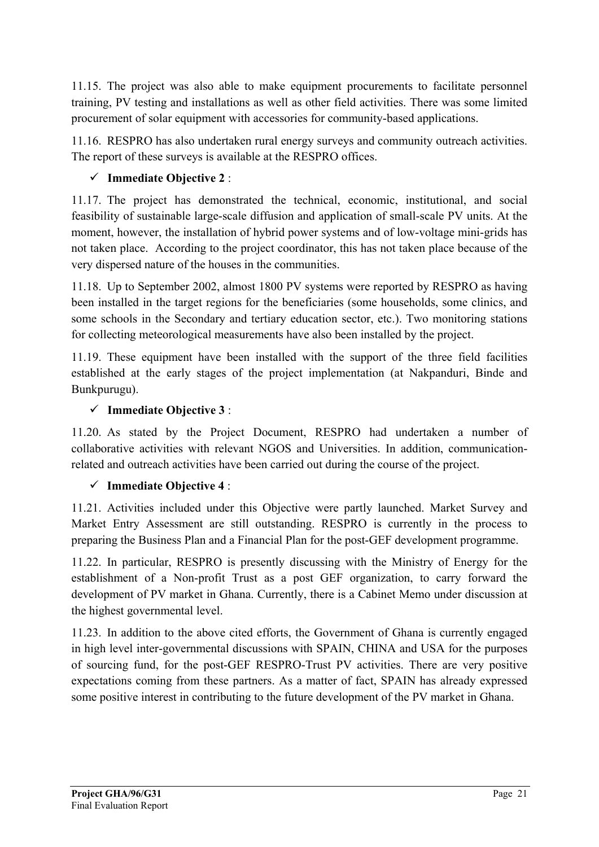11.15. The project was also able to make equipment procurements to facilitate personnel training, PV testing and installations as well as other field activities. There was some limited procurement of solar equipment with accessories for community-based applications.

11.16. RESPRO has also undertaken rural energy surveys and community outreach activities. The report of these surveys is available at the RESPRO offices.

## **Immediate Objective 2** :

11.17. The project has demonstrated the technical, economic, institutional, and social feasibility of sustainable large-scale diffusion and application of small-scale PV units. At the moment, however, the installation of hybrid power systems and of low-voltage mini-grids has not taken place. According to the project coordinator, this has not taken place because of the very dispersed nature of the houses in the communities.

11.18. Up to September 2002, almost 1800 PV systems were reported by RESPRO as having been installed in the target regions for the beneficiaries (some households, some clinics, and some schools in the Secondary and tertiary education sector, etc.). Two monitoring stations for collecting meteorological measurements have also been installed by the project.

11.19. These equipment have been installed with the support of the three field facilities established at the early stages of the project implementation (at Nakpanduri, Binde and Bunkpurugu).

## **Immediate Objective 3** :

11.20. As stated by the Project Document, RESPRO had undertaken a number of collaborative activities with relevant NGOS and Universities. In addition, communicationrelated and outreach activities have been carried out during the course of the project.

## **Immediate Objective 4** :

11.21. Activities included under this Objective were partly launched. Market Survey and Market Entry Assessment are still outstanding. RESPRO is currently in the process to preparing the Business Plan and a Financial Plan for the post-GEF development programme.

11.22. In particular, RESPRO is presently discussing with the Ministry of Energy for the establishment of a Non-profit Trust as a post GEF organization, to carry forward the development of PV market in Ghana. Currently, there is a Cabinet Memo under discussion at the highest governmental level.

11.23. In addition to the above cited efforts, the Government of Ghana is currently engaged in high level inter-governmental discussions with SPAIN, CHINA and USA for the purposes of sourcing fund, for the post-GEF RESPRO-Trust PV activities. There are very positive expectations coming from these partners. As a matter of fact, SPAIN has already expressed some positive interest in contributing to the future development of the PV market in Ghana.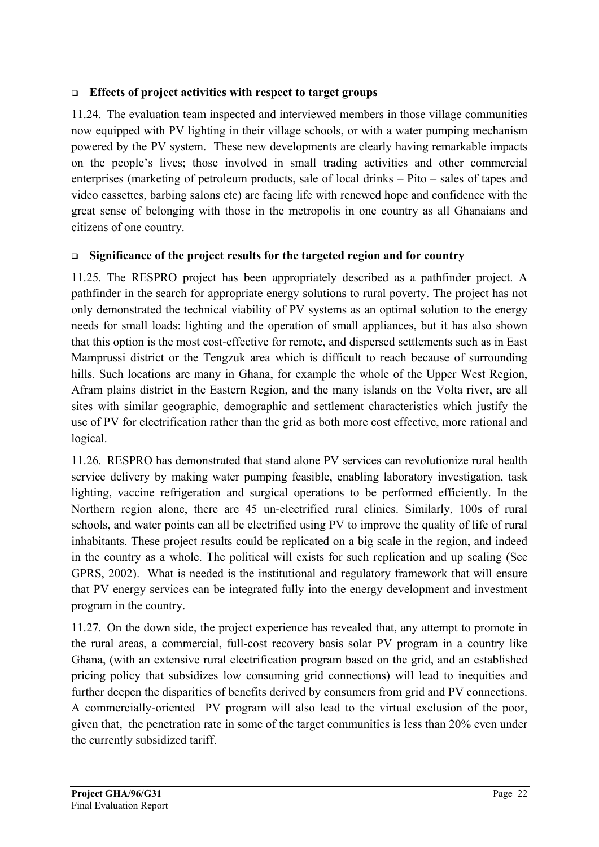### **Effects of project activities with respect to target groups**

11.24. The evaluation team inspected and interviewed members in those village communities now equipped with PV lighting in their village schools, or with a water pumping mechanism powered by the PV system. These new developments are clearly having remarkable impacts on the people's lives; those involved in small trading activities and other commercial enterprises (marketing of petroleum products, sale of local drinks – Pito – sales of tapes and video cassettes, barbing salons etc) are facing life with renewed hope and confidence with the great sense of belonging with those in the metropolis in one country as all Ghanaians and citizens of one country.

## **Significance of the project results for the targeted region and for country**

11.25. The RESPRO project has been appropriately described as a pathfinder project. A pathfinder in the search for appropriate energy solutions to rural poverty. The project has not only demonstrated the technical viability of PV systems as an optimal solution to the energy needs for small loads: lighting and the operation of small appliances, but it has also shown that this option is the most cost-effective for remote, and dispersed settlements such as in East Mamprussi district or the Tengzuk area which is difficult to reach because of surrounding hills. Such locations are many in Ghana, for example the whole of the Upper West Region, Afram plains district in the Eastern Region, and the many islands on the Volta river, are all sites with similar geographic, demographic and settlement characteristics which justify the use of PV for electrification rather than the grid as both more cost effective, more rational and logical.

11.26. RESPRO has demonstrated that stand alone PV services can revolutionize rural health service delivery by making water pumping feasible, enabling laboratory investigation, task lighting, vaccine refrigeration and surgical operations to be performed efficiently. In the Northern region alone, there are 45 un-electrified rural clinics. Similarly, 100s of rural schools, and water points can all be electrified using PV to improve the quality of life of rural inhabitants. These project results could be replicated on a big scale in the region, and indeed in the country as a whole. The political will exists for such replication and up scaling (See GPRS, 2002). What is needed is the institutional and regulatory framework that will ensure that PV energy services can be integrated fully into the energy development and investment program in the country.

11.27. On the down side, the project experience has revealed that, any attempt to promote in the rural areas, a commercial, full-cost recovery basis solar PV program in a country like Ghana, (with an extensive rural electrification program based on the grid, and an established pricing policy that subsidizes low consuming grid connections) will lead to inequities and further deepen the disparities of benefits derived by consumers from grid and PV connections. A commercially-oriented PV program will also lead to the virtual exclusion of the poor, given that, the penetration rate in some of the target communities is less than 20% even under the currently subsidized tariff.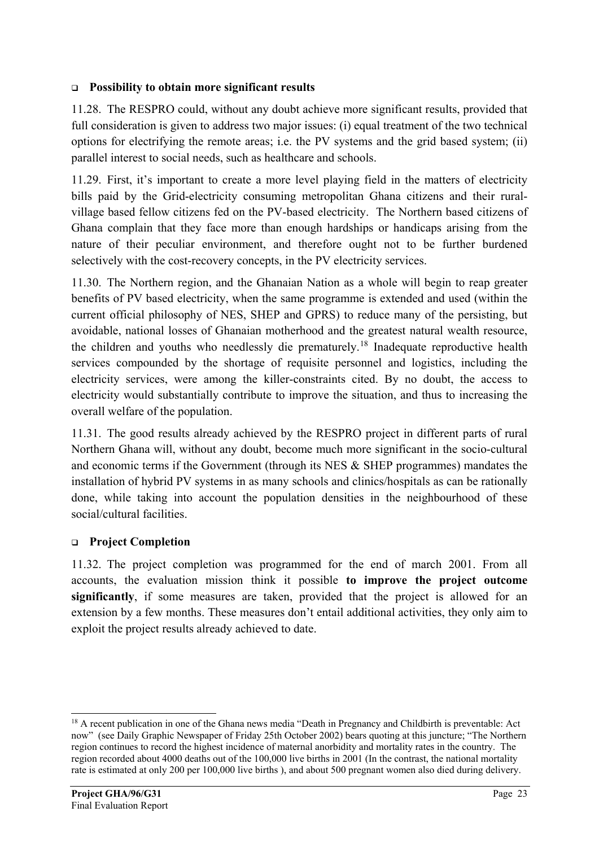### **Possibility to obtain more significant results**

11.28. The RESPRO could, without any doubt achieve more significant results, provided that full consideration is given to address two major issues: (i) equal treatment of the two technical options for electrifying the remote areas; i.e. the PV systems and the grid based system; (ii) parallel interest to social needs, such as healthcare and schools.

11.29. First, it's important to create a more level playing field in the matters of electricity bills paid by the Grid-electricity consuming metropolitan Ghana citizens and their ruralvillage based fellow citizens fed on the PV-based electricity. The Northern based citizens of Ghana complain that they face more than enough hardships or handicaps arising from the nature of their peculiar environment, and therefore ought not to be further burdened selectively with the cost-recovery concepts, in the PV electricity services.

11.30. The Northern region, and the Ghanaian Nation as a whole will begin to reap greater benefits of PV based electricity, when the same programme is extended and used (within the current official philosophy of NES, SHEP and GPRS) to reduce many of the persisting, but avoidable, national losses of Ghanaian motherhood and the greatest natural wealth resource, the children and youths who needlessly die prematurely.<sup>[18](#page-22-0)</sup> Inadequate reproductive health services compounded by the shortage of requisite personnel and logistics, including the electricity services, were among the killer-constraints cited. By no doubt, the access to electricity would substantially contribute to improve the situation, and thus to increasing the overall welfare of the population.

11.31. The good results already achieved by the RESPRO project in different parts of rural Northern Ghana will, without any doubt, become much more significant in the socio-cultural and economic terms if the Government (through its NES & SHEP programmes) mandates the installation of hybrid PV systems in as many schools and clinics/hospitals as can be rationally done, while taking into account the population densities in the neighbourhood of these social/cultural facilities.

### **Project Completion**

11.32. The project completion was programmed for the end of march 2001. From all accounts, the evaluation mission think it possible **to improve the project outcome significantly**, if some measures are taken, provided that the project is allowed for an extension by a few months. These measures don't entail additional activities, they only aim to exploit the project results already achieved to date.

<span id="page-22-0"></span><sup>-</sup><sup>18</sup> A recent publication in one of the Ghana news media "Death in Pregnancy and Childbirth is preventable: Act now" (see Daily Graphic Newspaper of Friday 25th October 2002) bears quoting at this juncture; "The Northern region continues to record the highest incidence of maternal anorbidity and mortality rates in the country. The region recorded about 4000 deaths out of the 100,000 live births in 2001 (In the contrast, the national mortality rate is estimated at only 200 per 100,000 live births ), and about 500 pregnant women also died during delivery.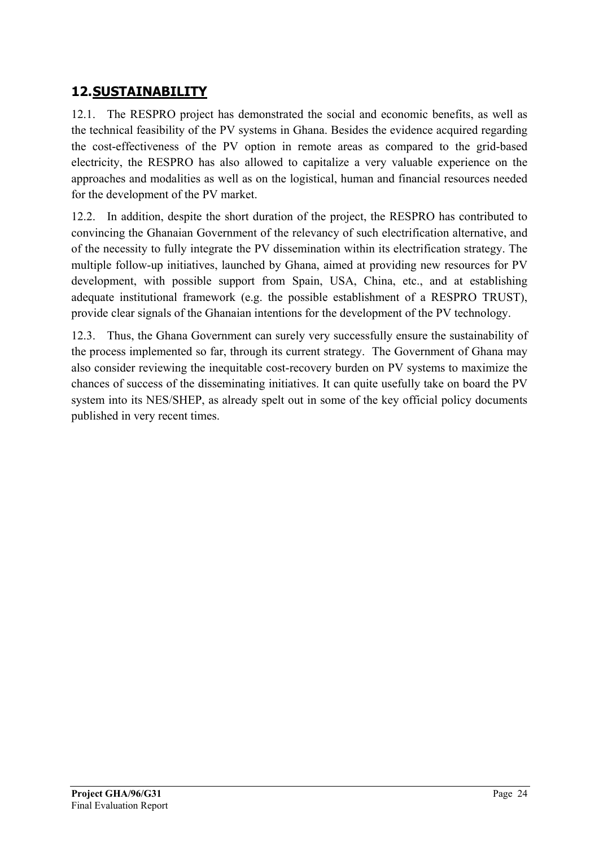## <span id="page-23-0"></span>**12.SUSTAINABILITY**

12.1. The RESPRO project has demonstrated the social and economic benefits, as well as the technical feasibility of the PV systems in Ghana. Besides the evidence acquired regarding the cost-effectiveness of the PV option in remote areas as compared to the grid-based electricity, the RESPRO has also allowed to capitalize a very valuable experience on the approaches and modalities as well as on the logistical, human and financial resources needed for the development of the PV market.

12.2. In addition, despite the short duration of the project, the RESPRO has contributed to convincing the Ghanaian Government of the relevancy of such electrification alternative, and of the necessity to fully integrate the PV dissemination within its electrification strategy. The multiple follow-up initiatives, launched by Ghana, aimed at providing new resources for PV development, with possible support from Spain, USA, China, etc., and at establishing adequate institutional framework (e.g. the possible establishment of a RESPRO TRUST), provide clear signals of the Ghanaian intentions for the development of the PV technology.

12.3. Thus, the Ghana Government can surely very successfully ensure the sustainability of the process implemented so far, through its current strategy. The Government of Ghana may also consider reviewing the inequitable cost-recovery burden on PV systems to maximize the chances of success of the disseminating initiatives. It can quite usefully take on board the PV system into its NES/SHEP, as already spelt out in some of the key official policy documents published in very recent times.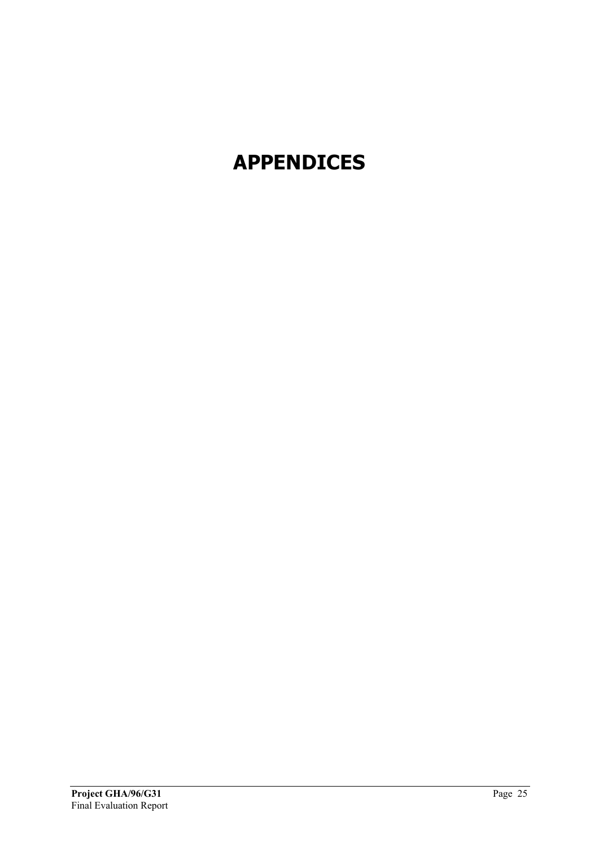# <span id="page-24-0"></span>**APPENDICES**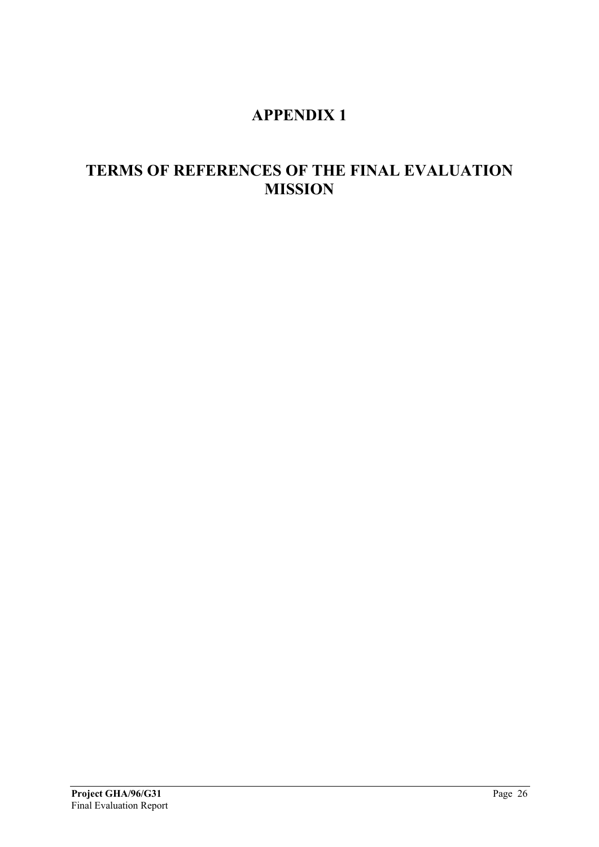## **APPENDIX 1**

## <span id="page-25-0"></span>**TERMS OF REFERENCES OF THE FINAL EVALUATION MISSION**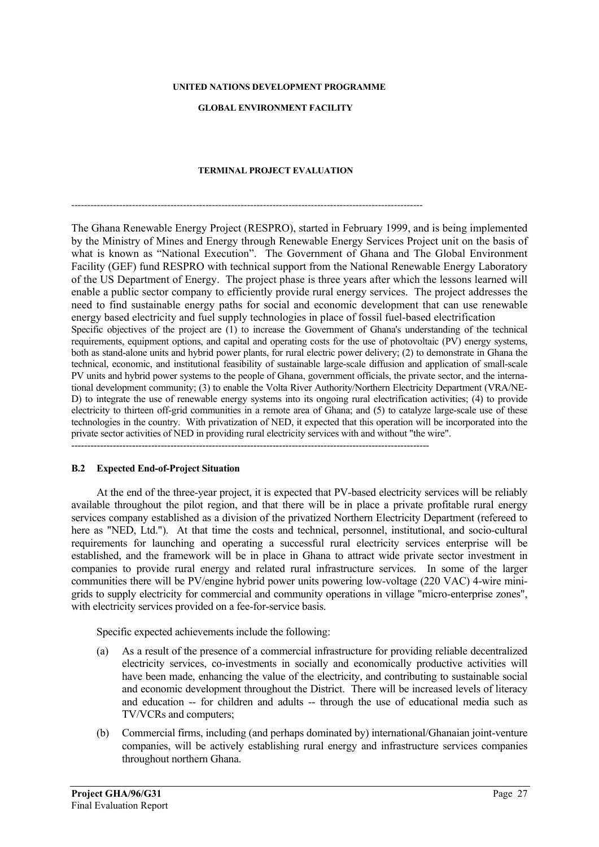#### **UNITED NATIONS DEVELOPMENT PROGRAMME**

#### **GLOBAL ENVIRONMENT FACILITY**

#### **TERMINAL PROJECT EVALUATION**

*--------------------------------------------------------------------------------------------------------------*

The Ghana Renewable Energy Project (RESPRO), started in February 1999, and is being implemented by the Ministry of Mines and Energy through Renewable Energy Services Project unit on the basis of what is known as "National Execution". The Government of Ghana and The Global Environment Facility (GEF) fund RESPRO with technical support from the National Renewable Energy Laboratory of the US Department of Energy. The project phase is three years after which the lessons learned will enable a public sector company to efficiently provide rural energy services. The project addresses the need to find sustainable energy paths for social and economic development that can use renewable energy based electricity and fuel supply technologies in place of fossil fuel-based electrification Specific objectives of the project are (1) to increase the Government of Ghana's understanding of the technical requirements, equipment options, and capital and operating costs for the use of photovoltaic (PV) energy systems, both as stand-alone units and hybrid power plants, for rural electric power delivery; (2) to demonstrate in Ghana the technical, economic, and institutional feasibility of sustainable large-scale diffusion and application of small-scale PV units and hybrid power systems to the people of Ghana, government officials, the private sector, and the international development community; (3) to enable the Volta River Authority/Northern Electricity Department (VRA/NE-D) to integrate the use of renewable energy systems into its ongoing rural electrification activities; (4) to provide electricity to thirteen off-grid communities in a remote area of Ghana; and (5) to catalyze large-scale use of these technologies in the country. With privatization of NED, it expected that this operation will be incorporated into the private sector activities of NED in providing rural electricity services with and without "the wire".

 $-+++++++$ 

#### **B.2 Expected End-of-Project Situation**

At the end of the three-year project, it is expected that PV-based electricity services will be reliably available throughout the pilot region, and that there will be in place a private profitable rural energy services company established as a division of the privatized Northern Electricity Department (refereed to here as "NED, Ltd."). At that time the costs and technical, personnel, institutional, and socio-cultural requirements for launching and operating a successful rural electricity services enterprise will be established, and the framework will be in place in Ghana to attract wide private sector investment in companies to provide rural energy and related rural infrastructure services. In some of the larger communities there will be PV/engine hybrid power units powering low-voltage (220 VAC) 4-wire minigrids to supply electricity for commercial and community operations in village "micro-enterprise zones", with electricity services provided on a fee-for-service basis.

Specific expected achievements include the following:

- (a) As a result of the presence of a commercial infrastructure for providing reliable decentralized electricity services, co-investments in socially and economically productive activities will have been made, enhancing the value of the electricity, and contributing to sustainable social and economic development throughout the District. There will be increased levels of literacy and education -- for children and adults -- through the use of educational media such as TV/VCRs and computers;
- (b) Commercial firms, including (and perhaps dominated by) international/Ghanaian joint-venture companies, will be actively establishing rural energy and infrastructure services companies throughout northern Ghana.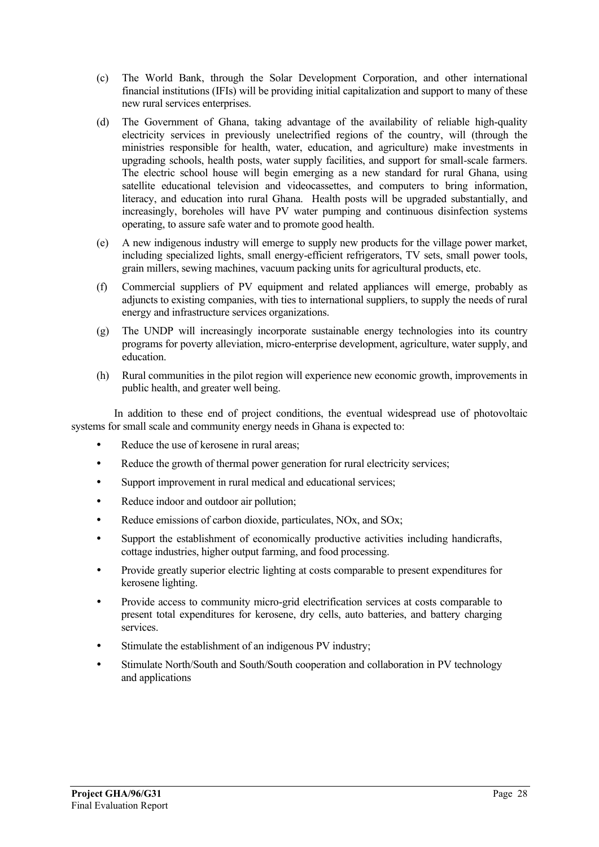- (c) The World Bank, through the Solar Development Corporation, and other international financial institutions (IFIs) will be providing initial capitalization and support to many of these new rural services enterprises.
- (d) The Government of Ghana, taking advantage of the availability of reliable high-quality electricity services in previously unelectrified regions of the country, will (through the ministries responsible for health, water, education, and agriculture) make investments in upgrading schools, health posts, water supply facilities, and support for small-scale farmers. The electric school house will begin emerging as a new standard for rural Ghana, using satellite educational television and videocassettes, and computers to bring information, literacy, and education into rural Ghana. Health posts will be upgraded substantially, and increasingly, boreholes will have PV water pumping and continuous disinfection systems operating, to assure safe water and to promote good health.
- (e) A new indigenous industry will emerge to supply new products for the village power market, including specialized lights, small energy-efficient refrigerators, TV sets, small power tools, grain millers, sewing machines, vacuum packing units for agricultural products, etc.
- (f) Commercial suppliers of PV equipment and related appliances will emerge, probably as adjuncts to existing companies, with ties to international suppliers, to supply the needs of rural energy and infrastructure services organizations.
- (g) The UNDP will increasingly incorporate sustainable energy technologies into its country programs for poverty alleviation, micro-enterprise development, agriculture, water supply, and education.
- (h) Rural communities in the pilot region will experience new economic growth, improvements in public health, and greater well being.

In addition to these end of project conditions, the eventual widespread use of photovoltaic systems for small scale and community energy needs in Ghana is expected to:

- Reduce the use of kerosene in rural areas;
- Reduce the growth of thermal power generation for rural electricity services;
- Support improvement in rural medical and educational services;
- Reduce indoor and outdoor air pollution;
- Reduce emissions of carbon dioxide, particulates, NOx, and SOx;
- Support the establishment of economically productive activities including handicrafts, cottage industries, higher output farming, and food processing.
- Provide greatly superior electric lighting at costs comparable to present expenditures for kerosene lighting.
- Provide access to community micro-grid electrification services at costs comparable to present total expenditures for kerosene, dry cells, auto batteries, and battery charging services.
- Stimulate the establishment of an indigenous PV industry;
- Stimulate North/South and South/South cooperation and collaboration in PV technology and applications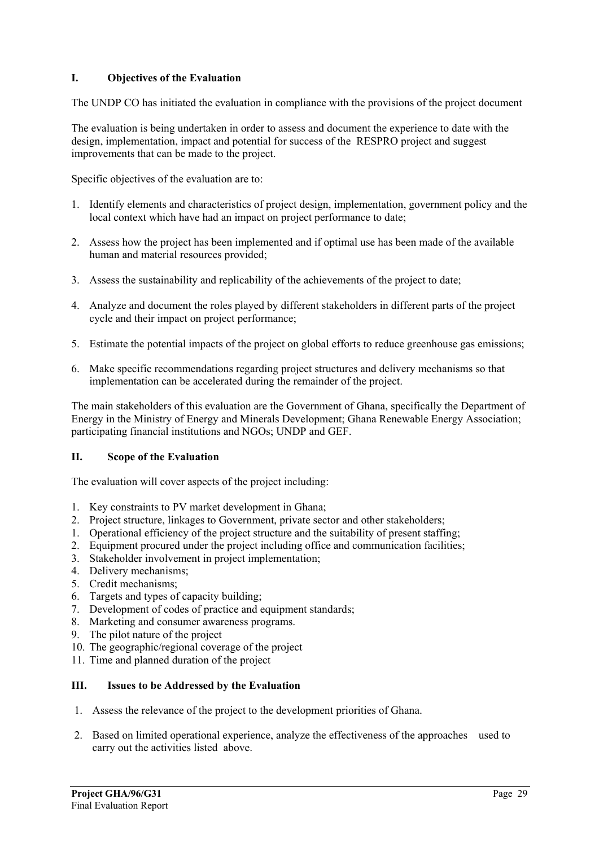#### **I. Objectives of the Evaluation**

The UNDP CO has initiated the evaluation in compliance with the provisions of the project document

The evaluation is being undertaken in order to assess and document the experience to date with the design, implementation, impact and potential for success of the RESPRO project and suggest improvements that can be made to the project.

Specific objectives of the evaluation are to:

- 1. Identify elements and characteristics of project design, implementation, government policy and the local context which have had an impact on project performance to date;
- 2. Assess how the project has been implemented and if optimal use has been made of the available human and material resources provided;
- 3. Assess the sustainability and replicability of the achievements of the project to date;
- 4. Analyze and document the roles played by different stakeholders in different parts of the project cycle and their impact on project performance;
- 5. Estimate the potential impacts of the project on global efforts to reduce greenhouse gas emissions;
- 6. Make specific recommendations regarding project structures and delivery mechanisms so that implementation can be accelerated during the remainder of the project.

The main stakeholders of this evaluation are the Government of Ghana, specifically the Department of Energy in the Ministry of Energy and Minerals Development; Ghana Renewable Energy Association; participating financial institutions and NGOs; UNDP and GEF.

#### **II. Scope of the Evaluation**

The evaluation will cover aspects of the project including:

- 1. Key constraints to PV market development in Ghana;
- 2. Project structure, linkages to Government, private sector and other stakeholders;
- 1. Operational efficiency of the project structure and the suitability of present staffing;
- 2. Equipment procured under the project including office and communication facilities;
- 3. Stakeholder involvement in project implementation;
- 4. Delivery mechanisms;
- 5. Credit mechanisms;
- 6. Targets and types of capacity building;
- 7. Development of codes of practice and equipment standards;
- 8. Marketing and consumer awareness programs.
- 9. The pilot nature of the project
- 10. The geographic/regional coverage of the project
- 11. Time and planned duration of the project

#### **III. Issues to be Addressed by the Evaluation**

- 1. Assess the relevance of the project to the development priorities of Ghana.
- 2. Based on limited operational experience, analyze the effectiveness of the approaches used to carry out the activities listed above.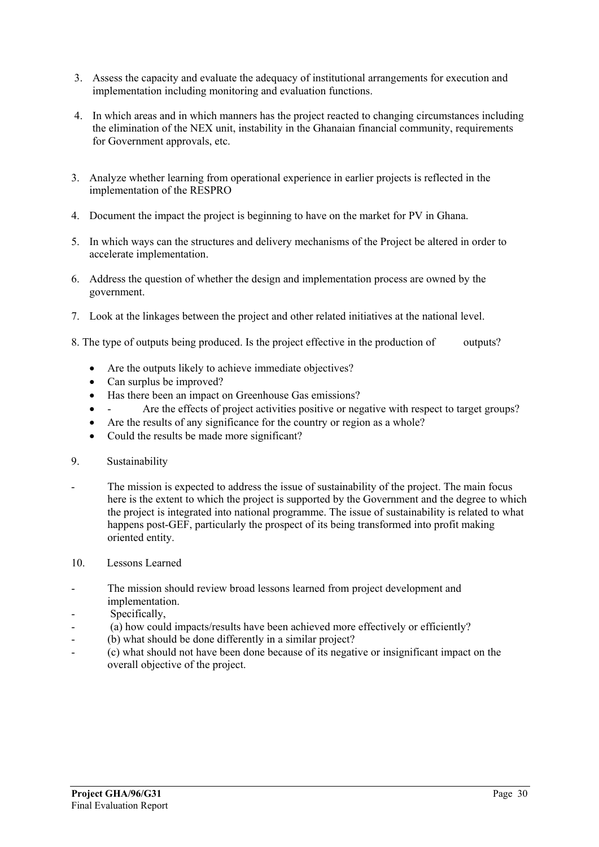- 3. Assess the capacity and evaluate the adequacy of institutional arrangements for execution and implementation including monitoring and evaluation functions.
- 4. In which areas and in which manners has the project reacted to changing circumstances including the elimination of the NEX unit, instability in the Ghanaian financial community, requirements for Government approvals, etc.
- 3. Analyze whether learning from operational experience in earlier projects is reflected in the implementation of the RESPRO
- 4. Document the impact the project is beginning to have on the market for PV in Ghana.
- 5. In which ways can the structures and delivery mechanisms of the Project be altered in order to accelerate implementation.
- 6. Address the question of whether the design and implementation process are owned by the government.
- 7. Look at the linkages between the project and other related initiatives at the national level.
- 8. The type of outputs being produced. Is the project effective in the production of outputs?
	- Are the outputs likely to achieve immediate objectives?
	- Can surplus be improved?
	- Has there been an impact on Greenhouse Gas emissions?
	- Are the effects of project activities positive or negative with respect to target groups?
	- Are the results of any significance for the country or region as a whole?
	- Could the results be made more significant?
- 9. Sustainability
- The mission is expected to address the issue of sustainability of the project. The main focus here is the extent to which the project is supported by the Government and the degree to which the project is integrated into national programme. The issue of sustainability is related to what happens post-GEF, particularly the prospect of its being transformed into profit making oriented entity.
- 10. Lessons Learned
- The mission should review broad lessons learned from project development and implementation.
- Specifically,
- (a) how could impacts/results have been achieved more effectively or efficiently?
- (b) what should be done differently in a similar project?
- (c) what should not have been done because of its negative or insignificant impact on the overall objective of the project.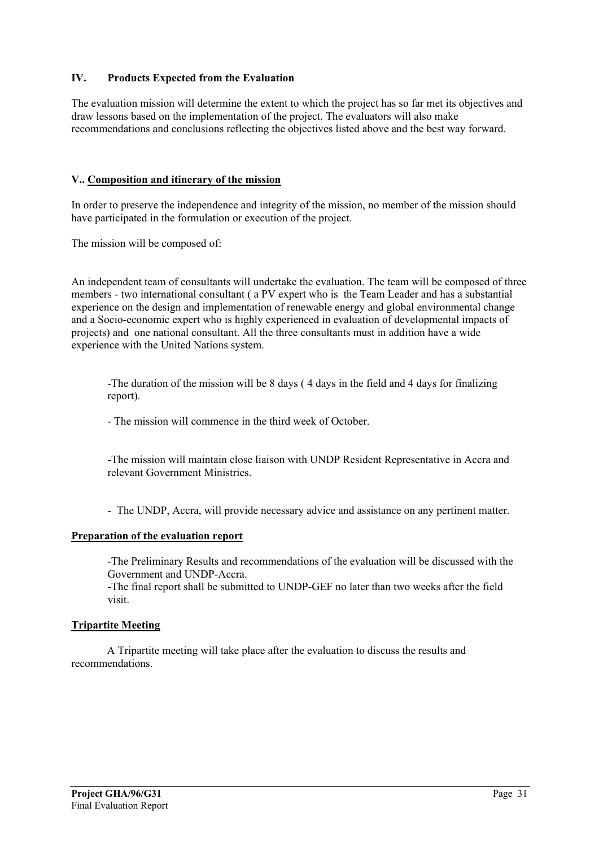#### **IV. Products Expected from the Evaluation**

The evaluation mission will determine the extent to which the project has so far met its objectives and draw lessons based on the implementation of the project. The evaluators will also make recommendations and conclusions reflecting the objectives listed above and the best way forward.

#### **V.. Composition and itinerary of the mission**

In order to preserve the independence and integrity of the mission, no member of the mission should have participated in the formulation or execution of the project.

The mission will be composed of:

An independent team of consultants will undertake the evaluation. The team will be composed of three members - two international consultant ( a PV expert who is the Team Leader and has a substantial experience on the design and implementation of renewable energy and global environmental change and a Socio-economic expert who is highly experienced in evaluation of developmental impacts of projects) and one national consultant. All the three consultants must in addition have a wide experience with the United Nations system.

-The duration of the mission will be 8 days ( 4 days in the field and 4 days for finalizing report).

- The mission will commence in the third week of October.

-The mission will maintain close liaison with UNDP Resident Representative in Accra and relevant Government Ministries.

- The UNDP, Accra, will provide necessary advice and assistance on any pertinent matter.

#### **Preparation of the evaluation report**

-The Preliminary Results and recommendations of the evaluation will be discussed with the Government and UNDP-Accra.

-The final report shall be submitted to UNDP-GEF no later than two weeks after the field visit.

#### **Tripartite Meeting**

A Tripartite meeting will take place after the evaluation to discuss the results and recommendations.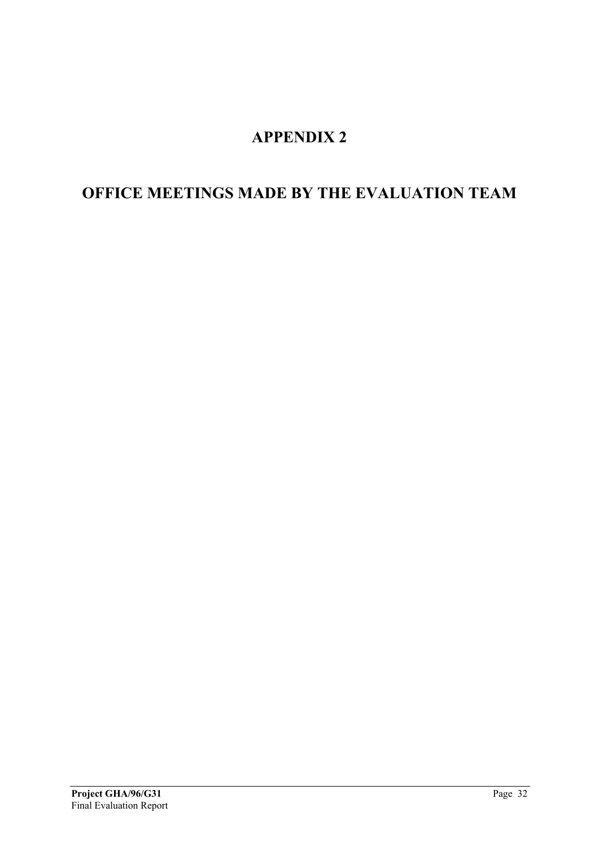## **APPENDIX 2**

## <span id="page-31-0"></span>**OFFICE MEETINGS MADE BY THE EVALUATION TEAM**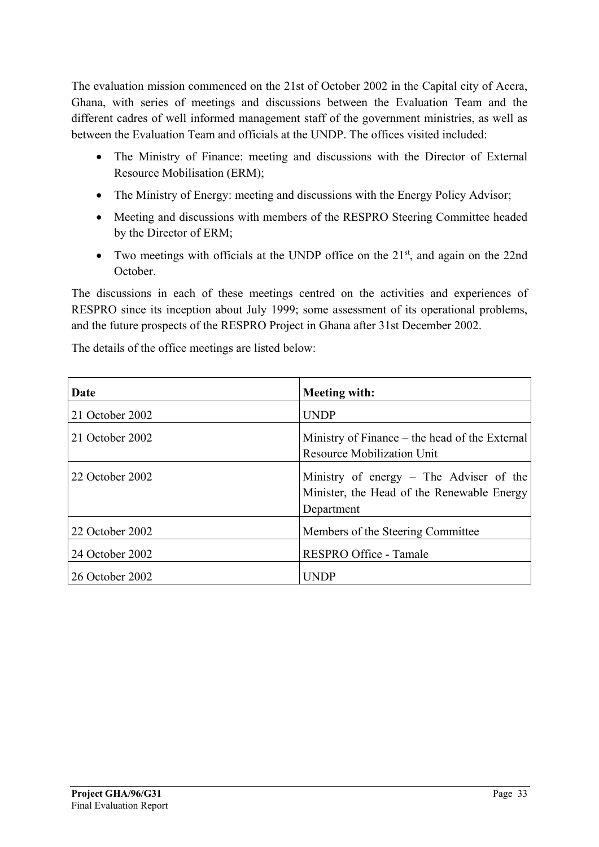The evaluation mission commenced on the 21st of October 2002 in the Capital city of Accra, Ghana, with series of meetings and discussions between the Evaluation Team and the different cadres of well informed management staff of the government ministries, as well as between the Evaluation Team and officials at the UNDP. The offices visited included:

- The Ministry of Finance: meeting and discussions with the Director of External Resource Mobilisation (ERM);
- The Ministry of Energy: meeting and discussions with the Energy Policy Advisor;
- Meeting and discussions with members of the RESPRO Steering Committee headed by the Director of ERM;
- Two meetings with officials at the UNDP office on the 21<sup>st</sup>, and again on the 22nd October.

The discussions in each of these meetings centred on the activities and experiences of RESPRO since its inception about July 1999; some assessment of its operational problems, and the future prospects of the RESPRO Project in Ghana after 31st December 2002.

The details of the office meetings are listed below:

| Date            | <b>Meeting with:</b>                                                                                |
|-----------------|-----------------------------------------------------------------------------------------------------|
| 21 October 2002 | <b>UNDP</b>                                                                                         |
| 21 October 2002 | Ministry of Finance – the head of the External<br><b>Resource Mobilization Unit</b>                 |
| 22 October 2002 | Ministry of energy – The Adviser of the<br>Minister, the Head of the Renewable Energy<br>Department |
| 22 October 2002 | Members of the Steering Committee                                                                   |
| 24 October 2002 | RESPRO Office - Tamale                                                                              |
| 26 October 2002 | UNDP                                                                                                |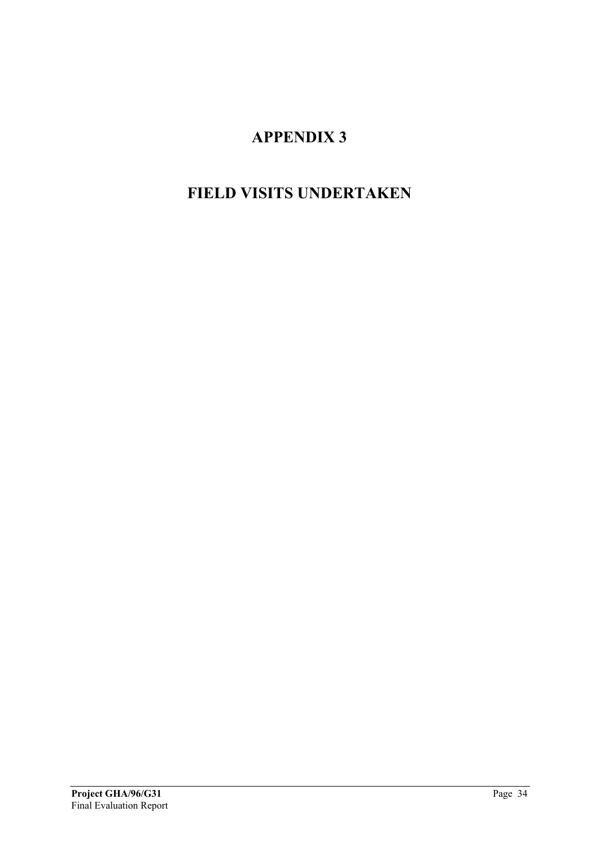# **APPENDIX 3**

# <span id="page-33-0"></span>**FIELD VISITS UNDERTAKEN**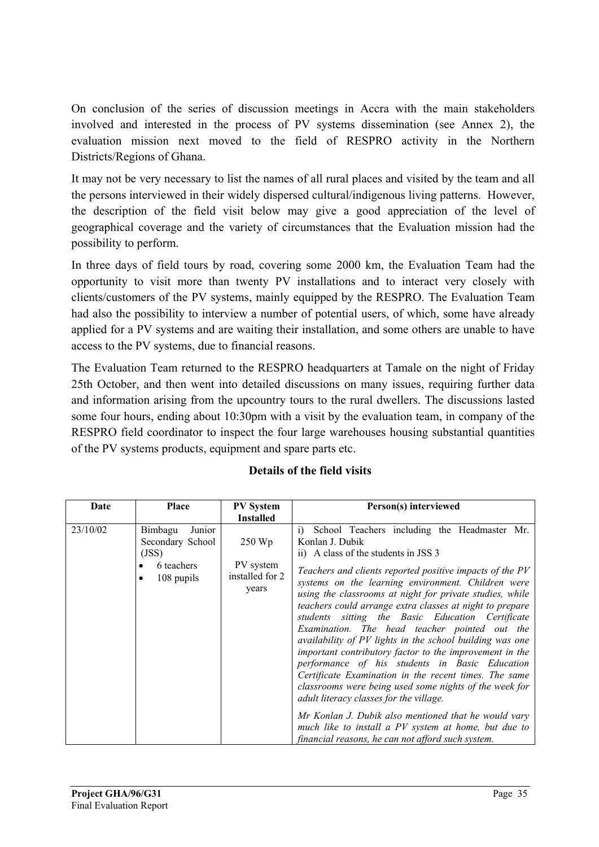On conclusion of the series of discussion meetings in Accra with the main stakeholders involved and interested in the process of PV systems dissemination (see Annex 2), the evaluation mission next moved to the field of RESPRO activity in the Northern Districts/Regions of Ghana.

It may not be very necessary to list the names of all rural places and visited by the team and all the persons interviewed in their widely dispersed cultural/indigenous living patterns. However, the description of the field visit below may give a good appreciation of the level of geographical coverage and the variety of circumstances that the Evaluation mission had the possibility to perform.

In three days of field tours by road, covering some 2000 km, the Evaluation Team had the opportunity to visit more than twenty PV installations and to interact very closely with clients/customers of the PV systems, mainly equipped by the RESPRO. The Evaluation Team had also the possibility to interview a number of potential users, of which, some have already applied for a PV systems and are waiting their installation, and some others are unable to have access to the PV systems, due to financial reasons.

The Evaluation Team returned to the RESPRO headquarters at Tamale on the night of Friday 25th October, and then went into detailed discussions on many issues, requiring further data and information arising from the upcountry tours to the rural dwellers. The discussions lasted some four hours, ending about 10:30pm with a visit by the evaluation team, in company of the RESPRO field coordinator to inspect the four large warehouses housing substantial quantities of the PV systems products, equipment and spare parts etc.

| Date     | <b>Place</b>                                                               | <b>PV</b> System<br><b>Installed</b>            | Person(s) interviewed                                                                                                                                                                                                                                                                                                                                                                                                                                                                                                                                                                                                                                                                                                                                                                                                                                                                                                                                                 |
|----------|----------------------------------------------------------------------------|-------------------------------------------------|-----------------------------------------------------------------------------------------------------------------------------------------------------------------------------------------------------------------------------------------------------------------------------------------------------------------------------------------------------------------------------------------------------------------------------------------------------------------------------------------------------------------------------------------------------------------------------------------------------------------------------------------------------------------------------------------------------------------------------------------------------------------------------------------------------------------------------------------------------------------------------------------------------------------------------------------------------------------------|
| 23/10/02 | Bimbagu<br>Junior<br>Secondary School<br>(JSS)<br>6 teachers<br>108 pupils | 250 Wp<br>PV system<br>installed for 2<br>years | i) School Teachers including the Headmaster Mr.<br>Konlan J. Dubik<br>ii) A class of the students in JSS 3<br>Teachers and clients reported positive impacts of the PV<br>systems on the learning environment. Children were<br>using the classrooms at night for private studies, while<br>teachers could arrange extra classes at night to prepare<br>students sitting the Basic Education Certificate<br>Examination. The head teacher pointed out the<br>availability of PV lights in the school building was one<br>important contributory factor to the improvement in the<br>performance of his students in Basic Education<br>Certificate Examination in the recent times. The same<br>classrooms were being used some nights of the week for<br>adult literacy classes for the village.<br>Mr Konlan J. Dubik also mentioned that he would vary<br>much like to install a PV system at home, but due to<br>financial reasons, he can not afford such system. |

## **Details of the field visits**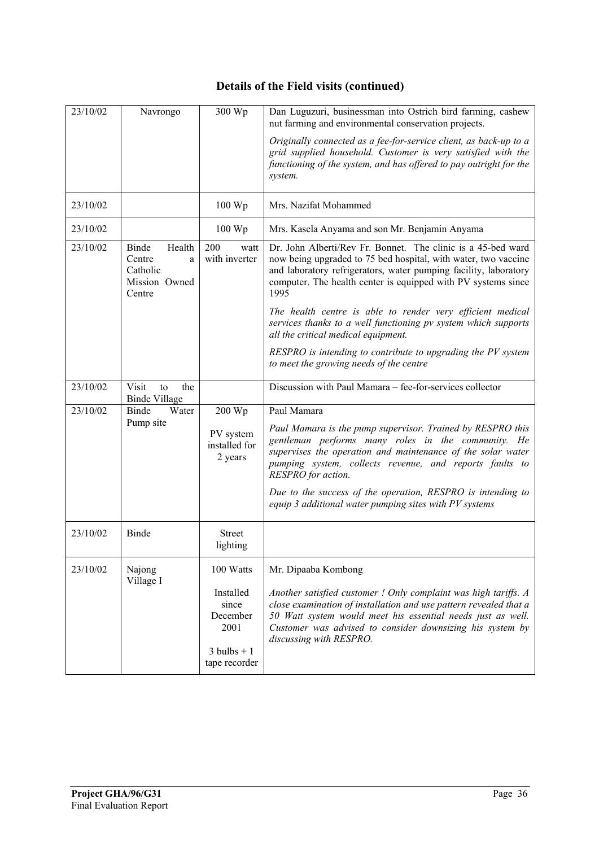## **Details of the Field visits (continued)**

| 23/10/02 | Navrongo                                                              | 300 Wp                                                                   | Dan Luguzuri, businessman into Ostrich bird farming, cashew<br>nut farming and environmental conservation projects.                                                                                                                                                                         |
|----------|-----------------------------------------------------------------------|--------------------------------------------------------------------------|---------------------------------------------------------------------------------------------------------------------------------------------------------------------------------------------------------------------------------------------------------------------------------------------|
|          |                                                                       |                                                                          | Originally connected as a fee-for-service client, as back-up to a<br>grid supplied household. Customer is very satisfied with the<br>functioning of the system, and has offered to pay outright for the<br>system.                                                                          |
| 23/10/02 |                                                                       | $100 \,\mathrm{Wp}$                                                      | Mrs. Nazifat Mohammed                                                                                                                                                                                                                                                                       |
| 23/10/02 |                                                                       | $100 \,\mathrm{Wp}$                                                      | Mrs. Kasela Anyama and son Mr. Benjamin Anyama                                                                                                                                                                                                                                              |
| 23/10/02 | Binde<br>Health<br>Centre<br>a<br>Catholic<br>Mission Owned<br>Centre | 200<br>watt<br>with inverter                                             | Dr. John Alberti/Rev Fr. Bonnet. The clinic is a 45-bed ward<br>now being upgraded to 75 bed hospital, with water, two vaccine<br>and laboratory refrigerators, water pumping facility, laboratory<br>computer. The health center is equipped with PV systems since<br>1995                 |
|          |                                                                       |                                                                          | The health centre is able to render very efficient medical<br>services thanks to a well functioning pv system which supports<br>all the critical medical equipment.                                                                                                                         |
|          |                                                                       |                                                                          | RESPRO is intending to contribute to upgrading the PV system<br>to meet the growing needs of the centre                                                                                                                                                                                     |
| 23/10/02 | Visit<br>the<br>to<br><b>Binde Village</b>                            |                                                                          | Discussion with Paul Mamara - fee-for-services collector                                                                                                                                                                                                                                    |
| 23/10/02 | <b>Binde</b><br>Water                                                 | 200 Wp                                                                   | Paul Mamara                                                                                                                                                                                                                                                                                 |
|          | Pump site                                                             | PV system<br>installed for<br>2 years                                    | Paul Mamara is the pump supervisor. Trained by RESPRO this<br>gentleman performs many roles in the community. He<br>supervises the operation and maintenance of the solar water<br>pumping system, collects revenue, and reports faults to<br>RESPRO for action.                            |
|          |                                                                       |                                                                          | Due to the success of the operation, RESPRO is intending to<br>equip 3 additional water pumping sites with PV systems                                                                                                                                                                       |
| 23/10/02 | Binde                                                                 | <b>Street</b><br>lighting                                                |                                                                                                                                                                                                                                                                                             |
| 23/10/02 | Najong                                                                | 100 Watts                                                                | Mr. Dipaaba Kombong                                                                                                                                                                                                                                                                         |
|          | Village I                                                             | Installed<br>since<br>December<br>2001<br>$3$ bulbs + 1<br>tape recorder | Another satisfied customer ! Only complaint was high tariffs. A<br>close examination of installation and use pattern revealed that a<br>50 Watt system would meet his essential needs just as well.<br>Customer was advised to consider downsizing his system by<br>discussing with RESPRO. |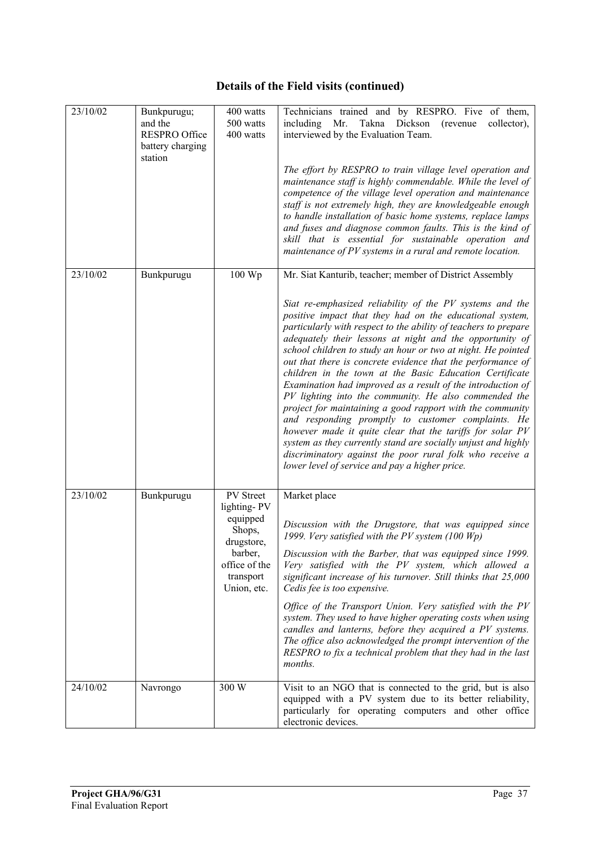## **Details of the Field visits (continued)**

| 23/10/02 | Bunkpurugu;                                                    | 400 watts                                            | Technicians trained and by RESPRO. Five of them,                                                                                                                                                                                                                                                                                                                                                                                                                                                                                                                                                                                                                                                                                                                                                                                                                                                                                     |
|----------|----------------------------------------------------------------|------------------------------------------------------|--------------------------------------------------------------------------------------------------------------------------------------------------------------------------------------------------------------------------------------------------------------------------------------------------------------------------------------------------------------------------------------------------------------------------------------------------------------------------------------------------------------------------------------------------------------------------------------------------------------------------------------------------------------------------------------------------------------------------------------------------------------------------------------------------------------------------------------------------------------------------------------------------------------------------------------|
|          | and the<br><b>RESPRO Office</b><br>battery charging<br>station | 500 watts<br>400 watts                               | including Mr. Takna Dickson<br>(revenue)<br>collector),<br>interviewed by the Evaluation Team.                                                                                                                                                                                                                                                                                                                                                                                                                                                                                                                                                                                                                                                                                                                                                                                                                                       |
|          |                                                                |                                                      | The effort by RESPRO to train village level operation and<br>maintenance staff is highly commendable. While the level of<br>competence of the village level operation and maintenance<br>staff is not extremely high, they are knowledgeable enough<br>to handle installation of basic home systems, replace lamps<br>and fuses and diagnose common faults. This is the kind of<br>skill that is essential for sustainable operation and<br>maintenance of PV systems in a rural and remote location.                                                                                                                                                                                                                                                                                                                                                                                                                                |
| 23/10/02 | Bunkpurugu                                                     | 100 Wp                                               | Mr. Siat Kanturib, teacher; member of District Assembly                                                                                                                                                                                                                                                                                                                                                                                                                                                                                                                                                                                                                                                                                                                                                                                                                                                                              |
|          |                                                                |                                                      | Siat re-emphasized reliability of the PV systems and the<br>positive impact that they had on the educational system,<br>particularly with respect to the ability of teachers to prepare<br>adequately their lessons at night and the opportunity of<br>school children to study an hour or two at night. He pointed<br>out that there is concrete evidence that the performance of<br>children in the town at the Basic Education Certificate<br>Examination had improved as a result of the introduction of<br>PV lighting into the community. He also commended the<br>project for maintaining a good rapport with the community<br>and responding promptly to customer complaints. He<br>however made it quite clear that the tariffs for solar PV<br>system as they currently stand are socially unjust and highly<br>discriminatory against the poor rural folk who receive a<br>lower level of service and pay a higher price. |
| 23/10/02 | Bunkpurugu                                                     | PV Street                                            | Market place                                                                                                                                                                                                                                                                                                                                                                                                                                                                                                                                                                                                                                                                                                                                                                                                                                                                                                                         |
|          |                                                                | lighting-PV<br>equipped<br>Shops,<br>drugstore,      | Discussion with the Drugstore, that was equipped since<br>1999. Very satisfied with the PV system $(100 Wp)$                                                                                                                                                                                                                                                                                                                                                                                                                                                                                                                                                                                                                                                                                                                                                                                                                         |
|          |                                                                | barber,<br>office of the<br>transport<br>Union, etc. | Discussion with the Barber, that was equipped since 1999.<br>Very satisfied with the PV system, which allowed a<br>significant increase of his turnover. Still thinks that 25,000<br>Cedis fee is too expensive.                                                                                                                                                                                                                                                                                                                                                                                                                                                                                                                                                                                                                                                                                                                     |
|          |                                                                |                                                      | Office of the Transport Union. Very satisfied with the PV<br>system. They used to have higher operating costs when using<br>candles and lanterns, before they acquired a PV systems.<br>The office also acknowledged the prompt intervention of the<br>RESPRO to fix a technical problem that they had in the last<br><i>months.</i>                                                                                                                                                                                                                                                                                                                                                                                                                                                                                                                                                                                                 |
| 24/10/02 | Navrongo                                                       | 300 W                                                | Visit to an NGO that is connected to the grid, but is also<br>equipped with a PV system due to its better reliability,<br>particularly for operating computers and other office<br>electronic devices.                                                                                                                                                                                                                                                                                                                                                                                                                                                                                                                                                                                                                                                                                                                               |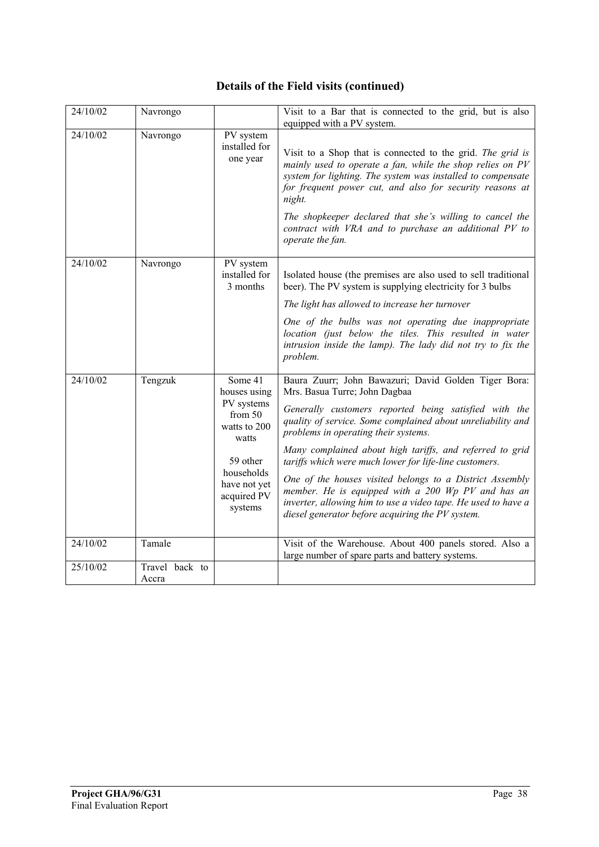## **Details of the Field visits (continued)**

| 24/10/02 | Navrongo                |                                                                                                                                               | Visit to a Bar that is connected to the grid, but is also<br>equipped with a PV system.                                                                                                                                                                                                                                                                                                                                                                                                                                                                                                                            |
|----------|-------------------------|-----------------------------------------------------------------------------------------------------------------------------------------------|--------------------------------------------------------------------------------------------------------------------------------------------------------------------------------------------------------------------------------------------------------------------------------------------------------------------------------------------------------------------------------------------------------------------------------------------------------------------------------------------------------------------------------------------------------------------------------------------------------------------|
| 24/10/02 | Navrongo                | PV system<br>installed for<br>one year                                                                                                        | Visit to a Shop that is connected to the grid. The grid is<br>mainly used to operate a fan, while the shop relies on PV<br>system for lighting. The system was installed to compensate<br>for frequent power cut, and also for security reasons at<br>night.<br>The shopkeeper declared that she's willing to cancel the<br>contract with VRA and to purchase an additional PV to<br>operate the fan.                                                                                                                                                                                                              |
| 24/10/02 | Navrongo                | PV system<br>installed for<br>3 months                                                                                                        | Isolated house (the premises are also used to sell traditional<br>beer). The PV system is supplying electricity for 3 bulbs<br>The light has allowed to increase her turnover<br>One of the bulbs was not operating due inappropriate<br>location (just below the tiles. This resulted in water<br>intrusion inside the lamp). The lady did not try to fix the<br>problem.                                                                                                                                                                                                                                         |
| 24/10/02 | Tengzuk                 | Some 41<br>houses using<br>PV systems<br>from 50<br>watts to 200<br>watts<br>59 other<br>households<br>have not yet<br>acquired PV<br>systems | Baura Zuurr; John Bawazuri; David Golden Tiger Bora:<br>Mrs. Basua Turre; John Dagbaa<br>Generally customers reported being satisfied with the<br>quality of service. Some complained about unreliability and<br>problems in operating their systems.<br>Many complained about high tariffs, and referred to grid<br>tariffs which were much lower for life-line customers.<br>One of the houses visited belongs to a District Assembly<br>member. He is equipped with a 200 Wp PV and has an<br>inverter, allowing him to use a video tape. He used to have a<br>diesel generator before acquiring the PV system. |
| 24/10/02 | Tamale                  |                                                                                                                                               | Visit of the Warehouse. About 400 panels stored. Also a<br>large number of spare parts and battery systems.                                                                                                                                                                                                                                                                                                                                                                                                                                                                                                        |
| 25/10/02 | Travel back to<br>Accra |                                                                                                                                               |                                                                                                                                                                                                                                                                                                                                                                                                                                                                                                                                                                                                                    |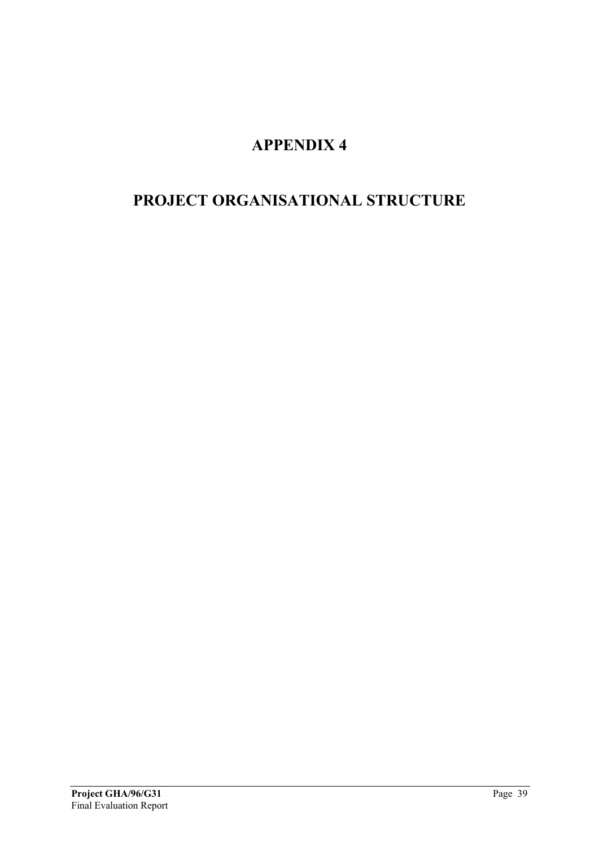# **APPENDIX 4**

## <span id="page-38-0"></span>**PROJECT ORGANISATIONAL STRUCTURE**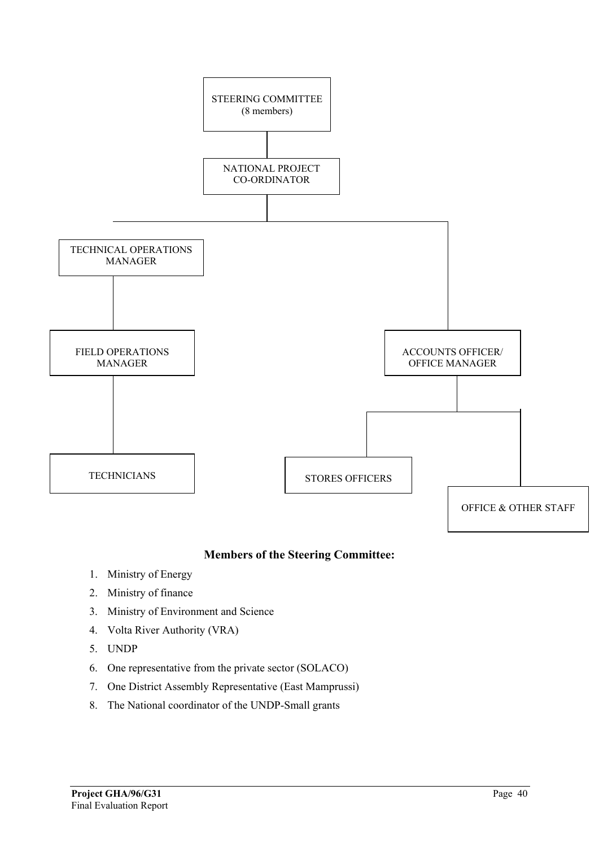

### **Members of the Steering Committee:**

- 1. Ministry of Energy
- 2. Ministry of finance
- 3. Ministry of Environment and Science
- 4. Volta River Authority (VRA)
- 5. UNDP
- 6. One representative from the private sector (SOLACO)
- 7. One District Assembly Representative (East Mamprussi)
- 8. The National coordinator of the UNDP-Small grants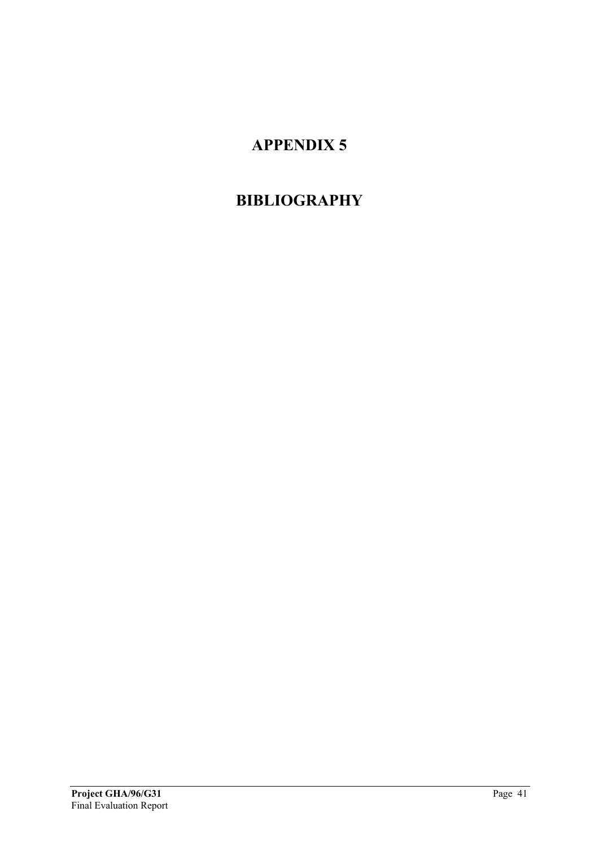# **APPENDIX 5**

# <span id="page-40-0"></span>**BIBLIOGRAPHY**